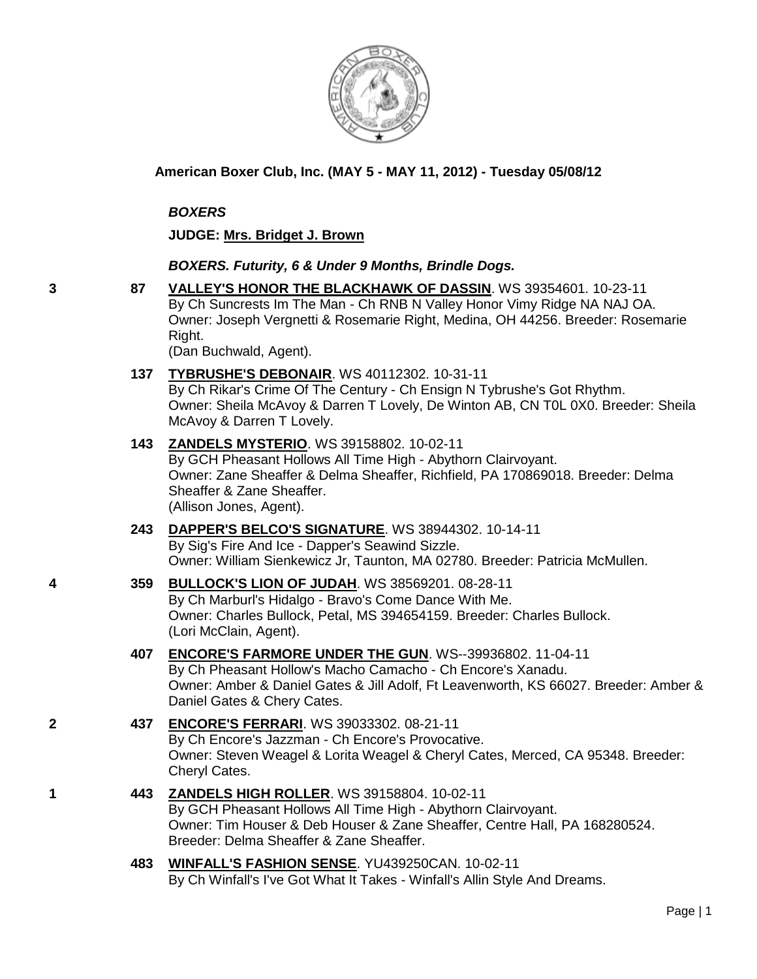

**American Boxer Club, Inc. (MAY 5 - MAY 11, 2012) - Tuesday 05/08/12** 

### *BOXERS*

**JUDGE: [Mrs. Bridget J. Brown](http://www.infodog.com/judges/52011/juddat.htm)**

### *BOXERS. Futurity, 6 & Under 9 Months, Brindle Dogs.*

**3 87 [VALLEY'S HONOR THE BLACKHAWK OF DASSIN](http://www.infodog.com/files/bdogrsl1.prg;makc=WS%2039354601;mdog=Valley_s_Honor_The_Blackhawk_of_Dassin;wins=all)**. WS 39354601. 10-23-11 By Ch Suncrests Im The Man - Ch RNB N Valley Honor Vimy Ridge NA NAJ OA. Owner: Joseph Vergnetti & Rosemarie Right, Medina, OH 44256. Breeder: Rosemarie Right.

(Dan Buchwald, Agent).

**137 [TYBRUSHE'S DEBONAIR](http://www.infodog.com/files/bdogrsl1.prg;makc=WS%2040112302;mdog=Tybrushe_s_Debonair;wins=all)**. WS 40112302. 10-31-11

By Ch Rikar's Crime Of The Century - Ch Ensign N Tybrushe's Got Rhythm. Owner: Sheila McAvoy & Darren T Lovely, De Winton AB, CN T0L 0X0. Breeder: Sheila McAvoy & Darren T Lovely.

- **143 [ZANDELS MYSTERIO](http://www.infodog.com/files/bdogrsl1.prg;makc=WS%2039158802;mdog=Zandels_Mysterio;wins=all)**. WS 39158802. 10-02-11 By GCH Pheasant Hollows All Time High - Abythorn Clairvoyant. Owner: Zane Sheaffer & Delma Sheaffer, Richfield, PA 170869018. Breeder: Delma Sheaffer & Zane Sheaffer. (Allison Jones, Agent).
- **243 [DAPPER'S BELCO'S SIGNATURE](http://www.infodog.com/files/bdogrsl1.prg;makc=WS%2038944302;mdog=Dapper_s_Belco_s_Signature;wins=all)**. WS 38944302. 10-14-11 By Sig's Fire And Ice - Dapper's Seawind Sizzle. Owner: William Sienkewicz Jr, Taunton, MA 02780. Breeder: Patricia McMullen.
- **4 359 [BULLOCK'S LION OF JUDAH](http://www.infodog.com/files/bdogrsl1.prg;makc=WS%2038569201;mdog=Bullock_s_Lion_Of_Judah;wins=all)**. WS 38569201. 08-28-11 By Ch Marburl's Hidalgo - Bravo's Come Dance With Me. Owner: Charles Bullock, Petal, MS 394654159. Breeder: Charles Bullock. (Lori McClain, Agent).
	- **407 [ENCORE'S FARMORE UNDER THE GUN](http://www.infodog.com/files/bdogrsl1.prg;makc=WS--39936802;mdog=Encore_s_Farmore_Under_The_Gun;wins=all)**. WS--39936802. 11-04-11 By Ch Pheasant Hollow's Macho Camacho - Ch Encore's Xanadu. Owner: Amber & Daniel Gates & Jill Adolf, Ft Leavenworth, KS 66027. Breeder: Amber & Daniel Gates & Chery Cates.
- **2 437 [ENCORE'S FERRARI](http://www.infodog.com/files/bdogrsl1.prg;makc=WS%2039033302;mdog=Encore_s_Ferrari;wins=all)**. WS 39033302. 08-21-11 By Ch Encore's Jazzman - Ch Encore's Provocative. Owner: Steven Weagel & Lorita Weagel & Cheryl Cates, Merced, CA 95348. Breeder: Cheryl Cates.
- **1 443 [ZANDELS HIGH ROLLER](http://www.infodog.com/files/bdogrsl1.prg;makc=WS%2039158804;mdog=Zandels_High_Roller;wins=all)**. WS 39158804. 10-02-11 By GCH Pheasant Hollows All Time High - Abythorn Clairvoyant. Owner: Tim Houser & Deb Houser & Zane Sheaffer, Centre Hall, PA 168280524. Breeder: Delma Sheaffer & Zane Sheaffer.
	- **483 [WINFALL'S FASHION SENSE](http://www.infodog.com/files/bdogrsl1.prg;makc=YU439250CAN;mdog=Winfall_s_Fashion_Sense;wins=all)**. YU439250CAN. 10-02-11 By Ch Winfall's I've Got What It Takes - Winfall's Allin Style And Dreams.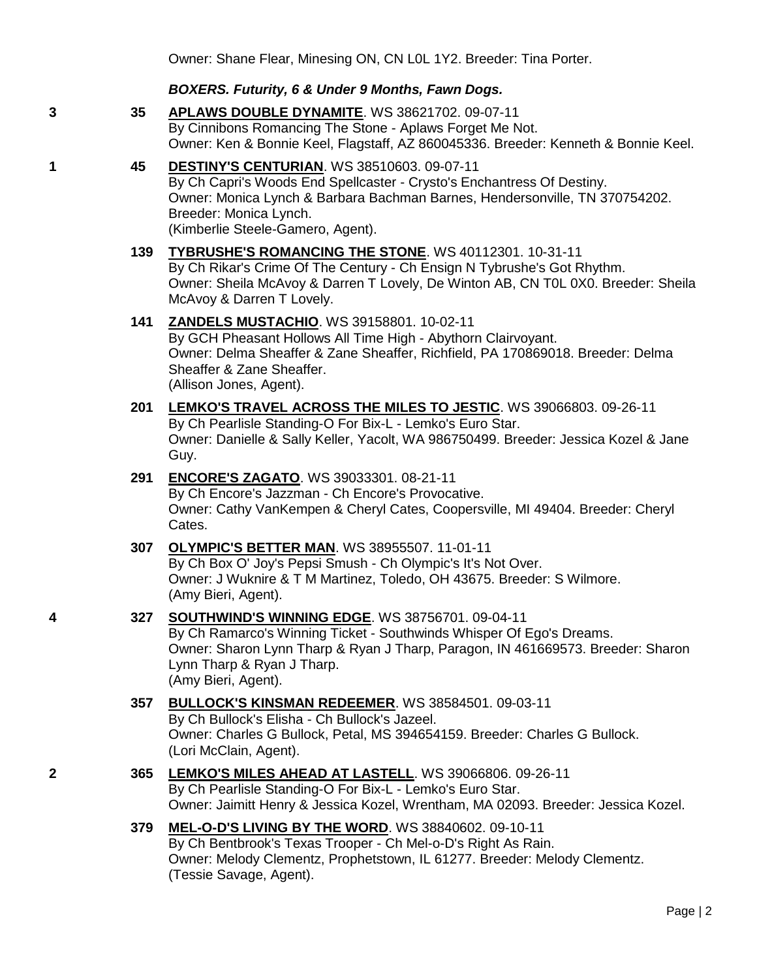### *BOXERS. Futurity, 6 & Under 9 Months, Fawn Dogs.*

**3 35 [APLAWS DOUBLE DYNAMITE](http://www.infodog.com/files/bdogrsl1.prg;makc=WS%2038621702;mdog=Aplaws_Double_Dynamite;wins=all)**. WS 38621702. 09-07-11 By Cinnibons Romancing The Stone - Aplaws Forget Me Not. Owner: Ken & Bonnie Keel, Flagstaff, AZ 860045336. Breeder: Kenneth & Bonnie Keel.

### **1 45 [DESTINY'S CENTURIAN](http://www.infodog.com/files/bdogrsl1.prg;makc=WS%2038510603;mdog=Destiny_s_Centurian;wins=all)**. WS 38510603. 09-07-11

By Ch Capri's Woods End Spellcaster - Crysto's Enchantress Of Destiny. Owner: Monica Lynch & Barbara Bachman Barnes, Hendersonville, TN 370754202. Breeder: Monica Lynch. (Kimberlie Steele-Gamero, Agent).

# **139 [TYBRUSHE'S ROMANCING THE STONE](http://www.infodog.com/files/bdogrsl1.prg;makc=WS%2040112301;mdog=Tybrushe_s_Romancing_The_Stone;wins=all)**. WS 40112301. 10-31-11

By Ch Rikar's Crime Of The Century - Ch Ensign N Tybrushe's Got Rhythm. Owner: Sheila McAvoy & Darren T Lovely, De Winton AB, CN T0L 0X0. Breeder: Sheila McAvoy & Darren T Lovely.

### **141 [ZANDELS MUSTACHIO](http://www.infodog.com/files/bdogrsl1.prg;makc=WS%2039158801;mdog=Zandels_Mustachio;wins=all)**. WS 39158801. 10-02-11

By GCH Pheasant Hollows All Time High - Abythorn Clairvoyant. Owner: Delma Sheaffer & Zane Sheaffer, Richfield, PA 170869018. Breeder: Delma Sheaffer & Zane Sheaffer. (Allison Jones, Agent).

### **201 [LEMKO'S TRAVEL ACROSS THE MILES TO JESTIC](http://www.infodog.com/files/bdogrsl1.prg;makc=WS%2039066803;mdog=Lemko_s_Travel_Across_The_Miles_To_Jestic;wins=all)**. WS 39066803. 09-26-11 By Ch Pearlisle Standing-O For Bix-L - Lemko's Euro Star. Owner: Danielle & Sally Keller, Yacolt, WA 986750499. Breeder: Jessica Kozel & Jane Guy.

### **291 [ENCORE'S ZAGATO](http://www.infodog.com/files/bdogrsl1.prg;makc=WS%2039033301;mdog=Encore_s_Zagato;wins=all)**. WS 39033301. 08-21-11

By Ch Encore's Jazzman - Ch Encore's Provocative. Owner: Cathy VanKempen & Cheryl Cates, Coopersville, MI 49404. Breeder: Cheryl Cates.

### **307 [OLYMPIC'S BETTER MAN](http://www.infodog.com/files/bdogrsl1.prg;makc=WS%2038955507;mdog=Olympic_s_Better_Man;wins=all)**. WS 38955507. 11-01-11

By Ch Box O' Joy's Pepsi Smush - Ch Olympic's It's Not Over. Owner: J Wuknire & T M Martinez, Toledo, OH 43675. Breeder: S Wilmore. (Amy Bieri, Agent).

## **4 327 [SOUTHWIND'S WINNING EDGE](http://www.infodog.com/files/bdogrsl1.prg;makc=WS%2038756701;mdog=Southwind_s_Winning_Edge;wins=all)**. WS 38756701. 09-04-11

By Ch Ramarco's Winning Ticket - Southwinds Whisper Of Ego's Dreams. Owner: Sharon Lynn Tharp & Ryan J Tharp, Paragon, IN 461669573. Breeder: Sharon Lynn Tharp & Ryan J Tharp. (Amy Bieri, Agent).

#### **357 [BULLOCK'S KINSMAN REDEEMER](http://www.infodog.com/files/bdogrsl1.prg;makc=WS%2038584501;mdog=Bullock_s_Kinsman_Redeemer;wins=all)**. WS 38584501. 09-03-11 By Ch Bullock's Elisha - Ch Bullock's Jazeel.

Owner: Charles G Bullock, Petal, MS 394654159. Breeder: Charles G Bullock. (Lori McClain, Agent).

## **2 365 [LEMKO'S MILES AHEAD AT LASTELL](http://www.infodog.com/files/bdogrsl1.prg;makc=WS%2039066806;mdog=Lemko_s_Miles_Ahead_At_Lastell;wins=all)**. WS 39066806. 09-26-11 By Ch Pearlisle Standing-O For Bix-L - Lemko's Euro Star. Owner: Jaimitt Henry & Jessica Kozel, Wrentham, MA 02093. Breeder: Jessica Kozel.

## **379 [MEL-O-D'S LIVING BY THE WORD](http://www.infodog.com/files/bdogrsl1.prg;makc=WS%2038840602;mdog=Mel-o-D_s_Living_By_The_Word;wins=all)**. WS 38840602. 09-10-11

By Ch Bentbrook's Texas Trooper - Ch Mel-o-D's Right As Rain. Owner: Melody Clementz, Prophetstown, IL 61277. Breeder: Melody Clementz. (Tessie Savage, Agent).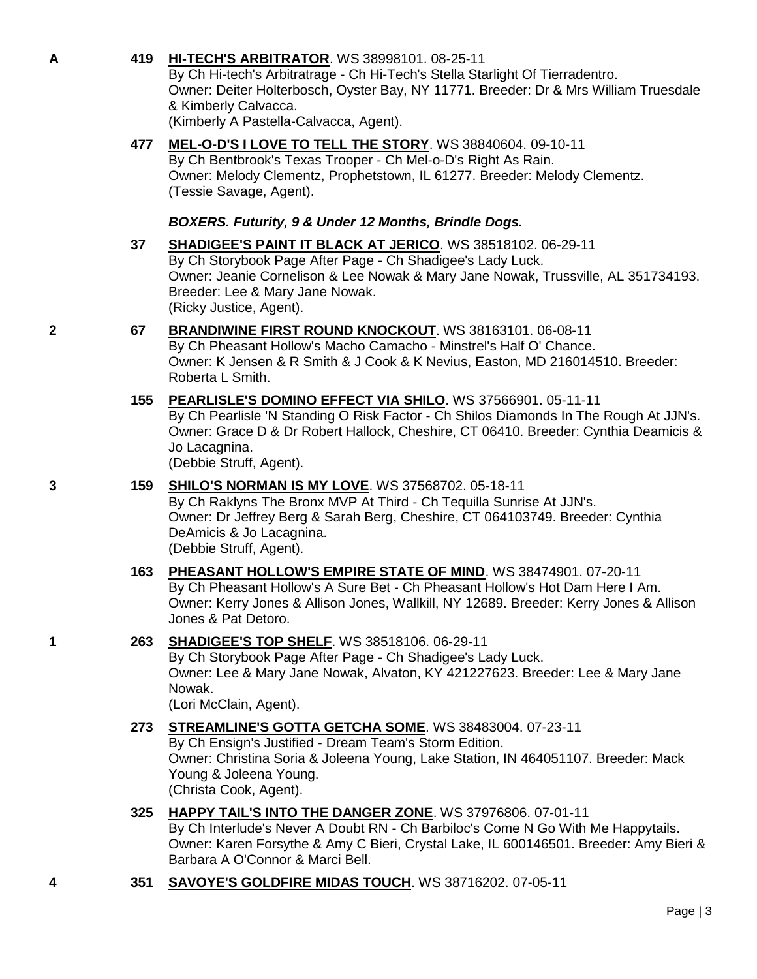## **A 419 [HI-TECH'S ARBITRATOR](http://www.infodog.com/files/bdogrsl1.prg;makc=WS%2038998101;mdog=Hi-tech_s_Arbitrator;wins=all)**. WS 38998101. 08-25-11

By Ch Hi-tech's Arbitratrage - Ch Hi-Tech's Stella Starlight Of Tierradentro. Owner: Deiter Holterbosch, Oyster Bay, NY 11771. Breeder: Dr & Mrs William Truesdale & Kimberly Calvacca. (Kimberly A Pastella-Calvacca, Agent).

**477 [MEL-O-D'S I LOVE TO TELL THE STORY](http://www.infodog.com/files/bdogrsl1.prg;makc=WS%2038840604;mdog=Mel-o-D_s_I_Love_To_Tell_The_Story;wins=all)**. WS 38840604. 09-10-11

By Ch Bentbrook's Texas Trooper - Ch Mel-o-D's Right As Rain. Owner: Melody Clementz, Prophetstown, IL 61277. Breeder: Melody Clementz. (Tessie Savage, Agent).

### *BOXERS. Futurity, 9 & Under 12 Months, Brindle Dogs.*

- **37 [SHADIGEE'S PAINT IT BLACK AT JERICO](http://www.infodog.com/files/bdogrsl1.prg;makc=WS%2038518102;mdog=Shadigee_s_Paint_It_Black_At_Jerico;wins=all)**. WS 38518102. 06-29-11 By Ch Storybook Page After Page - Ch Shadigee's Lady Luck. Owner: Jeanie Cornelison & Lee Nowak & Mary Jane Nowak, Trussville, AL 351734193. Breeder: Lee & Mary Jane Nowak. (Ricky Justice, Agent).
- **2 67 [BRANDIWINE FIRST ROUND KNOCKOUT](http://www.infodog.com/files/bdogrsl1.prg;makc=WS%2038163101;mdog=Brandiwine_First_Round_Knockout;wins=all)**. WS 38163101. 06-08-11 By Ch Pheasant Hollow's Macho Camacho - Minstrel's Half O' Chance. Owner: K Jensen & R Smith & J Cook & K Nevius, Easton, MD 216014510. Breeder: Roberta L Smith.
	- **155 [PEARLISLE'S DOMINO EFFECT VIA](http://www.infodog.com/files/bdogrsl1.prg;makc=WS%2037566901;mdog=Pearlisle_s_Domino_Effect_Via_Shilo;wins=all) SHILO**. WS 37566901. 05-11-11 By Ch Pearlisle 'N Standing O Risk Factor - Ch Shilos Diamonds In The Rough At JJN's. Owner: Grace D & Dr Robert Hallock, Cheshire, CT 06410. Breeder: Cynthia Deamicis & Jo Lacagnina.

(Debbie Struff, Agent).

## **3 159 [SHILO'S NORMAN IS MY LOVE](http://www.infodog.com/files/bdogrsl1.prg;makc=WS%2037568702;mdog=Shilo_s_Norman_Is_My_Love;wins=all)**. WS 37568702. 05-18-11

By Ch Raklyns The Bronx MVP At Third - Ch Tequilla Sunrise At JJN's. Owner: Dr Jeffrey Berg & Sarah Berg, Cheshire, CT 064103749. Breeder: Cynthia DeAmicis & Jo Lacagnina. (Debbie Struff, Agent).

**163 [PHEASANT HOLLOW'S EMPIRE STATE OF MIND](http://www.infodog.com/files/bdogrsl1.prg;makc=WS%2038474901;mdog=Pheasant_Hollow_s_Empire_State_Of_Mind;wins=all)**. WS 38474901. 07-20-11 By Ch Pheasant Hollow's A Sure Bet - Ch Pheasant Hollow's Hot Dam Here I Am. Owner: Kerry Jones & Allison Jones, Wallkill, NY 12689. Breeder: Kerry Jones & Allison Jones & Pat Detoro.

### **1 263 [SHADIGEE'S TOP SHELF](http://www.infodog.com/files/bdogrsl1.prg;makc=WS%2038518106;mdog=Shadigee_s_Top_Shelf;wins=all)**. WS 38518106. 06-29-11

By Ch Storybook Page After Page - Ch Shadigee's Lady Luck. Owner: Lee & Mary Jane Nowak, Alvaton, KY 421227623. Breeder: Lee & Mary Jane Nowak.

(Lori McClain, Agent).

### **273 [STREAMLINE'S GOTTA GETCHA SOME](http://www.infodog.com/files/bdogrsl1.prg;makc=WS%2038483004;mdog=Streamline_s_Gotta_Getcha_Some;wins=all)**. WS 38483004. 07-23-11

By Ch Ensign's Justified - Dream Team's Storm Edition. Owner: Christina Soria & Joleena Young, Lake Station, IN 464051107. Breeder: Mack Young & Joleena Young. (Christa Cook, Agent).

**325 [HAPPY TAIL'S INTO THE DANGER ZONE](http://www.infodog.com/files/bdogrsl1.prg;makc=WS%2037976806;mdog=Happy_Tail_s_Into_The_Danger_Zone;wins=all)**. WS 37976806. 07-01-11

By Ch Interlude's Never A Doubt RN - Ch Barbiloc's Come N Go With Me Happytails. Owner: Karen Forsythe & Amy C Bieri, Crystal Lake, IL 600146501. Breeder: Amy Bieri & Barbara A O'Connor & Marci Bell.

**4 351 [SAVOYE'S GOLDFIRE MIDAS TOUCH](http://www.infodog.com/files/bdogrsl1.prg;makc=WS%2038716202;mdog=Savoye_s_Goldfire_Midas_Touch;wins=all)**. WS 38716202. 07-05-11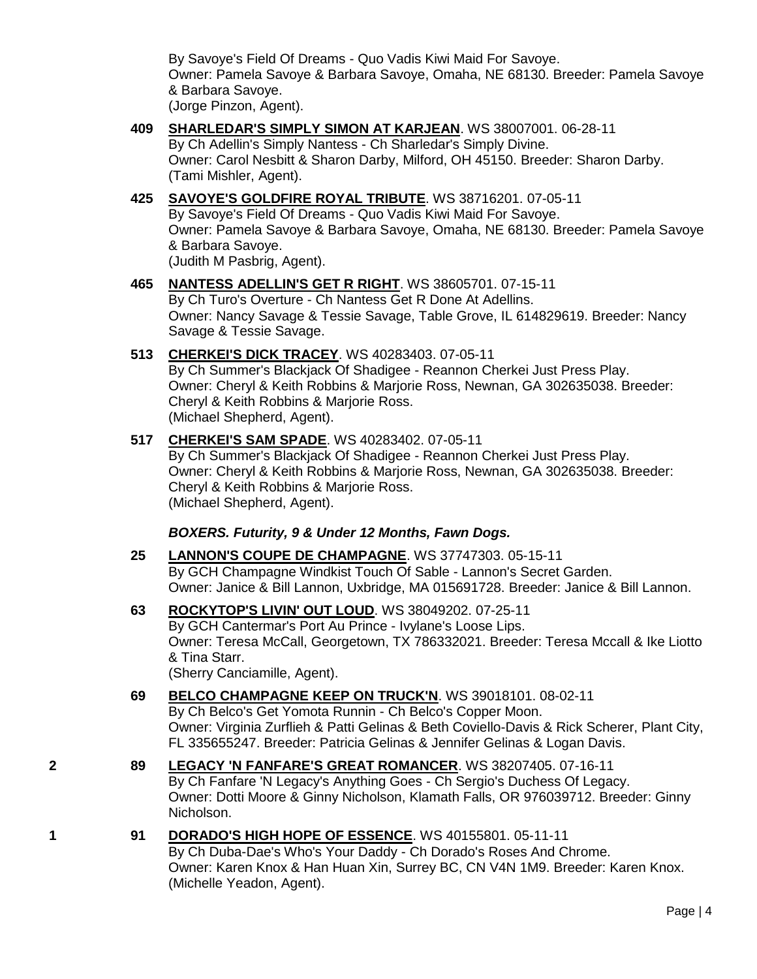By Savoye's Field Of Dreams - Quo Vadis Kiwi Maid For Savoye. Owner: Pamela Savoye & Barbara Savoye, Omaha, NE 68130. Breeder: Pamela Savoye & Barbara Savoye. (Jorge Pinzon, Agent).

- **409 [SHARLEDAR'S SIMPLY SIMON AT KARJEAN](http://www.infodog.com/files/bdogrsl1.prg;makc=WS%2038007001;mdog=Sharledar_s_Simply_Simon_At_Karjean;wins=all)**. WS 38007001. 06-28-11 By Ch Adellin's Simply Nantess - Ch Sharledar's Simply Divine. Owner: Carol Nesbitt & Sharon Darby, Milford, OH 45150. Breeder: Sharon Darby. (Tami Mishler, Agent).
- **425 [SAVOYE'S GOLDFIRE ROYAL TRIBUTE](http://www.infodog.com/files/bdogrsl1.prg;makc=WS%2038716201;mdog=Savoye_s_Goldfire_Royal_Tribute;wins=all)**. WS 38716201. 07-05-11 By Savoye's Field Of Dreams - Quo Vadis Kiwi Maid For Savoye. Owner: Pamela Savoye & Barbara Savoye, Omaha, NE 68130. Breeder: Pamela Savoye & Barbara Savoye. (Judith M Pasbrig, Agent).

#### **465 [NANTESS ADELLIN'S GET R RIGHT](http://www.infodog.com/files/bdogrsl1.prg;makc=WS%2038605701;mdog=Nantess_Adellin_s_Get_R_Right;wins=all)**. WS 38605701. 07-15-11 By Ch Turo's Overture - Ch Nantess Get R Done At Adellins.

Owner: Nancy Savage & Tessie Savage, Table Grove, IL 614829619. Breeder: Nancy Savage & Tessie Savage.

**513 [CHERKEI'S DICK TRACEY](http://www.infodog.com/files/bdogrsl1.prg;makc=WS%2040283403;mdog=Cherkei_s_Dick_Tracey;wins=all)**. WS 40283403. 07-05-11 By Ch Summer's Blackjack Of Shadigee - Reannon Cherkei Just Press Play. Owner: Cheryl & Keith Robbins & Marjorie Ross, Newnan, GA 302635038. Breeder: Cheryl & Keith Robbins & Marjorie Ross. (Michael Shepherd, Agent).

## **517 [CHERKEI'S SAM SPADE](http://www.infodog.com/files/bdogrsl1.prg;makc=WS%2040283402;mdog=Cherkei_s_Sam_Spade;wins=all)**. WS 40283402. 07-05-11

By Ch Summer's Blackjack Of Shadigee - Reannon Cherkei Just Press Play. Owner: Cheryl & Keith Robbins & Marjorie Ross, Newnan, GA 302635038. Breeder: Cheryl & Keith Robbins & Marjorie Ross. (Michael Shepherd, Agent).

## *BOXERS. Futurity, 9 & Under 12 Months, Fawn Dogs.*

- **25 [LANNON'S COUPE DE CHAMPAGNE](http://www.infodog.com/files/bdogrsl1.prg;makc=WS%2037747303;mdog=Lannon_s_Coupe_De_Champagne;wins=all)**. WS 37747303. 05-15-11 By GCH Champagne Windkist Touch Of Sable - Lannon's Secret Garden. Owner: Janice & Bill Lannon, Uxbridge, MA 015691728. Breeder: Janice & Bill Lannon.
- **63 [ROCKYTOP'S LIVIN' OUT LOUD](http://www.infodog.com/files/bdogrsl1.prg;makc=WS%2038049202;mdog=Rockytop_s_Livin__Out_Loud;wins=all)**. WS 38049202. 07-25-11 By GCH Cantermar's Port Au Prince - Ivylane's Loose Lips. Owner: Teresa McCall, Georgetown, TX 786332021. Breeder: Teresa Mccall & Ike Liotto & Tina Starr. (Sherry Canciamille, Agent).
- **69 [BELCO CHAMPAGNE KEEP ON TRUCK'N](http://www.infodog.com/files/bdogrsl1.prg;makc=WS%2039018101;mdog=Belco_Champagne_Keep_On_Truck_n;wins=all)**. WS 39018101. 08-02-11 By Ch Belco's Get Yomota Runnin - Ch Belco's Copper Moon. Owner: Virginia Zurflieh & Patti Gelinas & Beth Coviello-Davis & Rick Scherer, Plant City, FL 335655247. Breeder: Patricia Gelinas & Jennifer Gelinas & Logan Davis.
- **2 89 [LEGACY 'N FANFARE'S GREAT ROMANCER](http://www.infodog.com/files/bdogrsl1.prg;makc=WS%2038207405;mdog=Legacy__N_Fanfare_s_Great_Romancer;wins=all)**. WS 38207405. 07-16-11 By Ch Fanfare 'N Legacy's Anything Goes - Ch Sergio's Duchess Of Legacy. Owner: Dotti Moore & Ginny Nicholson, Klamath Falls, OR 976039712. Breeder: Ginny Nicholson.

## **1 91 [DORADO'S HIGH HOPE OF ESSENCE](http://www.infodog.com/files/bdogrsl1.prg;makc=WS%2040155801;mdog=Dorado_s_High_Hope_Of_Essence;wins=all)**. WS 40155801. 05-11-11

By Ch Duba-Dae's Who's Your Daddy - Ch Dorado's Roses And Chrome. Owner: Karen Knox & Han Huan Xin, Surrey BC, CN V4N 1M9. Breeder: Karen Knox. (Michelle Yeadon, Agent).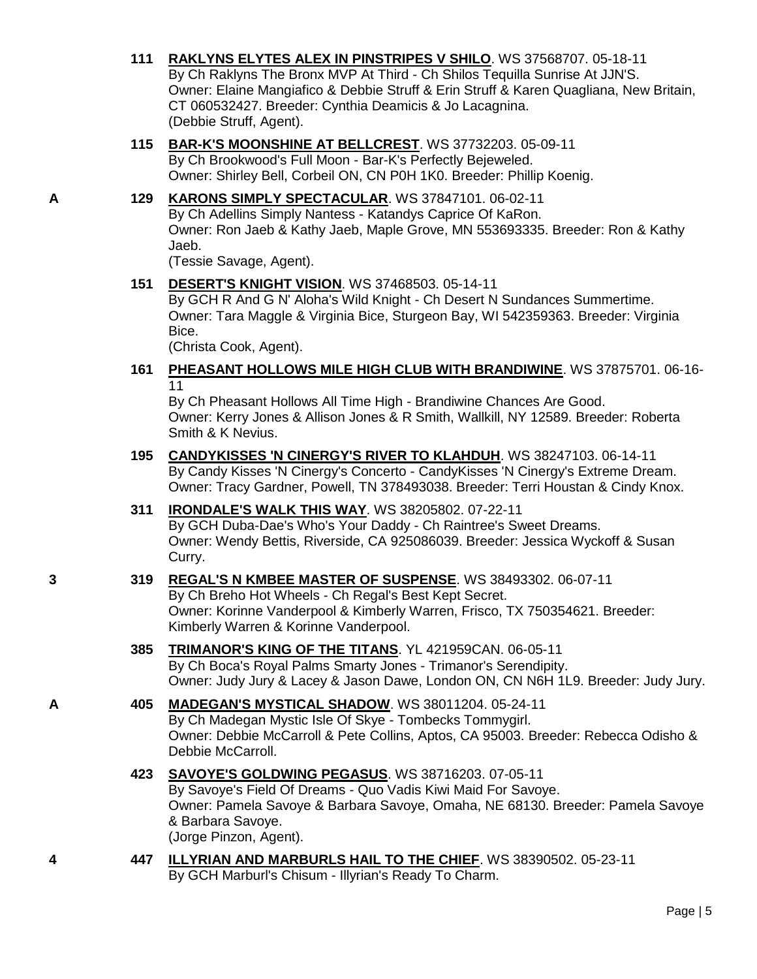- **111 [RAKLYNS ELYTES ALEX IN PINSTRIPES V SHILO](http://www.infodog.com/files/bdogrsl1.prg;makc=WS%2037568707;mdog=Raklyns_Elytes_Alex_In_Pinstripes_V_Shilo;wins=all)**. WS 37568707. 05-18-11 By Ch Raklyns The Bronx MVP At Third - Ch Shilos Tequilla Sunrise At JJN'S. Owner: Elaine Mangiafico & Debbie Struff & Erin Struff & Karen Quagliana, New Britain, CT 060532427. Breeder: Cynthia Deamicis & Jo Lacagnina. (Debbie Struff, Agent).
- **115 [BAR-K'S MOONSHINE AT BELLCREST](http://www.infodog.com/files/bdogrsl1.prg;makc=WS%2037732203;mdog=Bar-K_s_Moonshine_At_Bellcrest;wins=all)**. WS 37732203. 05-09-11 By Ch Brookwood's Full Moon - Bar-K's Perfectly Bejeweled. Owner: Shirley Bell, Corbeil ON, CN P0H 1K0. Breeder: Phillip Koenig.

### **A 129 [KARONS SIMPLY SPECTACULAR](http://www.infodog.com/files/bdogrsl1.prg;makc=WS%2037847101;mdog=KaRons_Simply_Spectacular;wins=all)**. WS 37847101. 06-02-11 By Ch Adellins Simply Nantess - Katandys Caprice Of KaRon. Owner: Ron Jaeb & Kathy Jaeb, Maple Grove, MN 553693335. Breeder: Ron & Kathy Jaeb.

(Tessie Savage, Agent).

### **151 [DESERT'S KNIGHT VISION](http://www.infodog.com/files/bdogrsl1.prg;makc=WS%2037468503;mdog=Desert_s_Knight_Vision;wins=all)**. WS 37468503. 05-14-11

By GCH R And G N' Aloha's Wild Knight - Ch Desert N Sundances Summertime. Owner: Tara Maggle & Virginia Bice, Sturgeon Bay, WI 542359363. Breeder: Virginia Bice.

(Christa Cook, Agent).

### **161 [PHEASANT HOLLOWS MILE HIGH CLUB WITH BRANDIWINE](http://www.infodog.com/files/bdogrsl1.prg;makc=WS%2037875701;mdog=Pheasant_Hollows_Mile_High_Club_With_Brandiwine;wins=all)**. WS 37875701. 06-16- 11

By Ch Pheasant Hollows All Time High - Brandiwine Chances Are Good. Owner: Kerry Jones & Allison Jones & R Smith, Wallkill, NY 12589. Breeder: Roberta Smith & K Nevius.

**195 [CANDYKISSES 'N CINERGY'S RIVER TO KLAHDUH](http://www.infodog.com/files/bdogrsl1.prg;makc=WS%2038247103;mdog=Candykisses__N_Cinergy_s_River_To_Klahduh;wins=all)**. WS 38247103. 06-14-11 By Candy Kisses 'N Cinergy's Concerto - CandyKisses 'N Cinergy's Extreme Dream. Owner: Tracy Gardner, Powell, TN 378493038. Breeder: Terri Houstan & Cindy Knox.

# **311 [IRONDALE'S WALK THIS WAY](http://www.infodog.com/files/bdogrsl1.prg;makc=WS%2038205802;mdog=Irondale_s_Walk_This_Way;wins=all)**. WS 38205802. 07-22-11

By GCH Duba-Dae's Who's Your Daddy - Ch Raintree's Sweet Dreams. Owner: Wendy Bettis, Riverside, CA 925086039. Breeder: Jessica Wyckoff & Susan Curry.

### **3 319 [REGAL'S N KMBEE MASTER OF SUSPENSE](http://www.infodog.com/files/bdogrsl1.prg;makc=WS%2038493302;mdog=Regal_s_N_Kmbee_Master_Of_Suspense;wins=all)**. WS 38493302. 06-07-11 By Ch Breho Hot Wheels - Ch Regal's Best Kept Secret. Owner: Korinne Vanderpool & Kimberly Warren, Frisco, TX 750354621. Breeder: Kimberly Warren & Korinne Vanderpool.

### **385 [TRIMANOR'S KING OF THE TITANS](http://www.infodog.com/files/bdogrsl1.prg;makc=YL%20421959CAN;mdog=Trimanor_s_King_Of_The_Titans;wins=all)**. YL 421959CAN. 06-05-11 By Ch Boca's Royal Palms Smarty Jones - Trimanor's Serendipity. Owner: Judy Jury & Lacey & Jason Dawe, London ON, CN N6H 1L9. Breeder: Judy Jury.

**A 405 [MADEGAN'S MYSTICAL SHADOW](http://www.infodog.com/files/bdogrsl1.prg;makc=WS%2038011204;mdog=Madegan_s_Mystical_Shadow;wins=all)**. WS 38011204. 05-24-11 By Ch Madegan Mystic Isle Of Skye - Tombecks Tommygirl. Owner: Debbie McCarroll & Pete Collins, Aptos, CA 95003. Breeder: Rebecca Odisho & Debbie McCarroll.

### **423 [SAVOYE'S GOLDWING PEGASUS](http://www.infodog.com/files/bdogrsl1.prg;makc=WS%2038716203;mdog=Savoye_s_Goldwing_Pegasus;wins=all)**. WS 38716203. 07-05-11 By Savoye's Field Of Dreams - Quo Vadis Kiwi Maid For Savoye. Owner: Pamela Savoye & Barbara Savoye, Omaha, NE 68130. Breeder: Pamela Savoye & Barbara Savoye. (Jorge Pinzon, Agent).

**4 447 [ILLYRIAN AND MARBURLS HAIL TO THE CHIEF](http://www.infodog.com/files/bdogrsl1.prg;makc=WS%2038390502;mdog=Illyrian_And_Marburls_Hail_To_The_Chief;wins=all)**. WS 38390502. 05-23-11 By GCH Marburl's Chisum - Illyrian's Ready To Charm.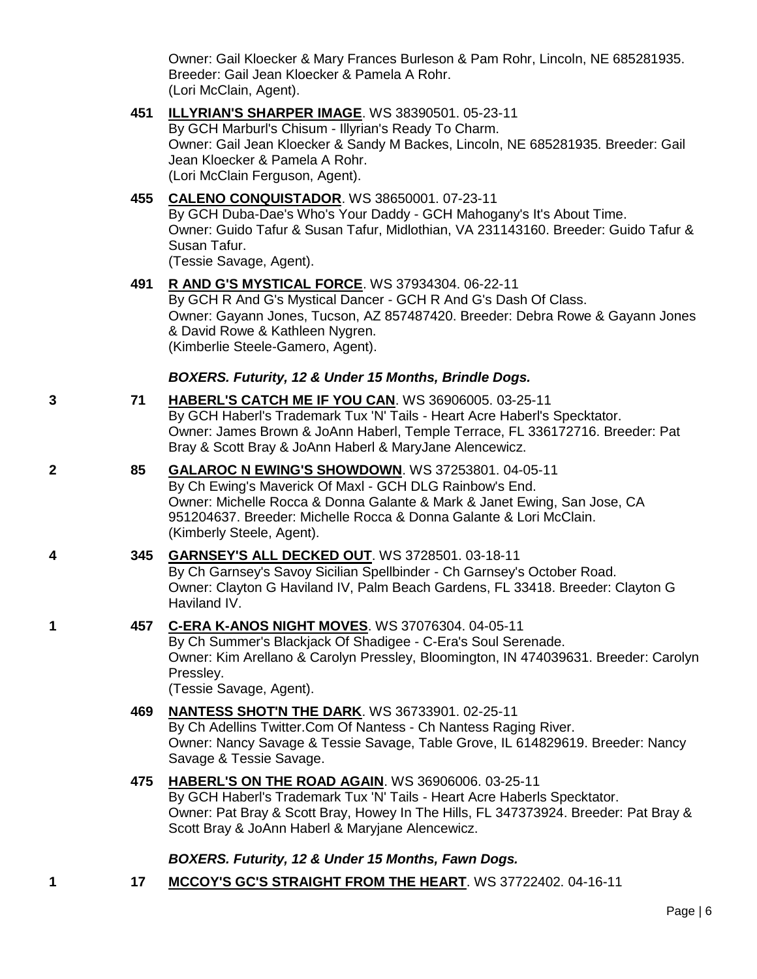Owner: Gail Kloecker & Mary Frances Burleson & Pam Rohr, Lincoln, NE 685281935. Breeder: Gail Jean Kloecker & Pamela A Rohr. (Lori McClain, Agent).

**451 [ILLYRIAN'S SHARPER IMAGE](http://www.infodog.com/files/bdogrsl1.prg;makc=WS%2038390501;mdog=Illyrian_s_Sharper_Image;wins=all)**. WS 38390501. 05-23-11

By GCH Marburl's Chisum - Illyrian's Ready To Charm. Owner: Gail Jean Kloecker & Sandy M Backes, Lincoln, NE 685281935. Breeder: Gail Jean Kloecker & Pamela A Rohr. (Lori McClain Ferguson, Agent).

**455 [CALENO CONQUISTADOR](http://www.infodog.com/files/bdogrsl1.prg;makc=WS%2038650001;mdog=Caleno_Conquistador;wins=all)**. WS 38650001. 07-23-11

By GCH Duba-Dae's Who's Your Daddy - GCH Mahogany's It's About Time. Owner: Guido Tafur & Susan Tafur, Midlothian, VA 231143160. Breeder: Guido Tafur & Susan Tafur.

(Tessie Savage, Agent).

**491 [R AND G'S MYSTICAL FORCE](http://www.infodog.com/files/bdogrsl1.prg;makc=WS%2037934304;mdog=R_And_G_s_Mystical_Force;wins=all)**. WS 37934304. 06-22-11

By GCH R And G's Mystical Dancer - GCH R And G's Dash Of Class. Owner: Gayann Jones, Tucson, AZ 857487420. Breeder: Debra Rowe & Gayann Jones & David Rowe & Kathleen Nygren. (Kimberlie Steele-Gamero, Agent).

### *BOXERS. Futurity, 12 & Under 15 Months, Brindle Dogs.*

- **3 71 [HABERL'S CATCH ME IF YOU CAN](http://www.infodog.com/files/bdogrsl1.prg;makc=WS%2036906005;mdog=Haberl_s_Catch_Me_If_You_Can;wins=all)**. WS 36906005. 03-25-11 By GCH Haberl's Trademark Tux 'N' Tails - Heart Acre Haberl's Specktator. Owner: James Brown & JoAnn Haberl, Temple Terrace, FL 336172716. Breeder: Pat Bray & Scott Bray & JoAnn Haberl & MaryJane Alencewicz.
- **2 85 [GALAROC N EWING'S SHOWDOWN](http://www.infodog.com/files/bdogrsl1.prg;makc=WS%2037253801;mdog=GalaRoc_N_Ewing_s_Showdown;wins=all)**. WS 37253801. 04-05-11

By Ch Ewing's Maverick Of Maxl - GCH DLG Rainbow's End. Owner: Michelle Rocca & Donna Galante & Mark & Janet Ewing, San Jose, CA 951204637. Breeder: Michelle Rocca & Donna Galante & Lori McClain. (Kimberly Steele, Agent).

### **4 345 [GARNSEY'S ALL DECKED OUT](http://www.infodog.com/files/bdogrsl1.prg;makc=WS%203728501;mdog=Garnsey_s_All_Decked_Out;wins=all)**. WS 3728501. 03-18-11

By Ch Garnsey's Savoy Sicilian Spellbinder - Ch Garnsey's October Road. Owner: Clayton G Haviland IV, Palm Beach Gardens, FL 33418. Breeder: Clayton G Haviland IV.

**1 457 [C-ERA K-ANOS NIGHT MOVES](http://www.infodog.com/files/bdogrsl1.prg;makc=WS%2037076304;mdog=C-Era_K-Anos_Night_Moves;wins=all)**. WS 37076304. 04-05-11

By Ch Summer's Blackjack Of Shadigee - C-Era's Soul Serenade. Owner: Kim Arellano & Carolyn Pressley, Bloomington, IN 474039631. Breeder: Carolyn Pressley.

(Tessie Savage, Agent).

**469 [NANTESS SHOT'N THE DARK](http://www.infodog.com/files/bdogrsl1.prg;makc=WS%2036733901;mdog=Nantess_Shot_N_The_Dark;wins=all)**. WS 36733901. 02-25-11 By Ch Adellins Twitter.Com Of Nantess - Ch Nantess Raging River. Owner: Nancy Savage & Tessie Savage, Table Grove, IL 614829619. Breeder: Nancy

Savage & Tessie Savage.

**475 [HABERL'S ON THE ROAD AGAIN](http://www.infodog.com/files/bdogrsl1.prg;makc=WS%2036906006;mdog=Haberl_s_On_The_Road_Again;wins=all)**. WS 36906006. 03-25-11

By GCH Haberl's Trademark Tux 'N' Tails - Heart Acre Haberls Specktator. Owner: Pat Bray & Scott Bray, Howey In The Hills, FL 347373924. Breeder: Pat Bray & Scott Bray & JoAnn Haberl & Maryjane Alencewicz.

## *BOXERS. Futurity, 12 & Under 15 Months, Fawn Dogs.*

**1 17 [MCCOY'S GC'S STRAIGHT FROM THE HEART](http://www.infodog.com/files/bdogrsl1.prg;makc=WS%2037722402;mdog=McCoy_s_GC_s_Straight_From_The_Heart;wins=all)**. WS 37722402. 04-16-11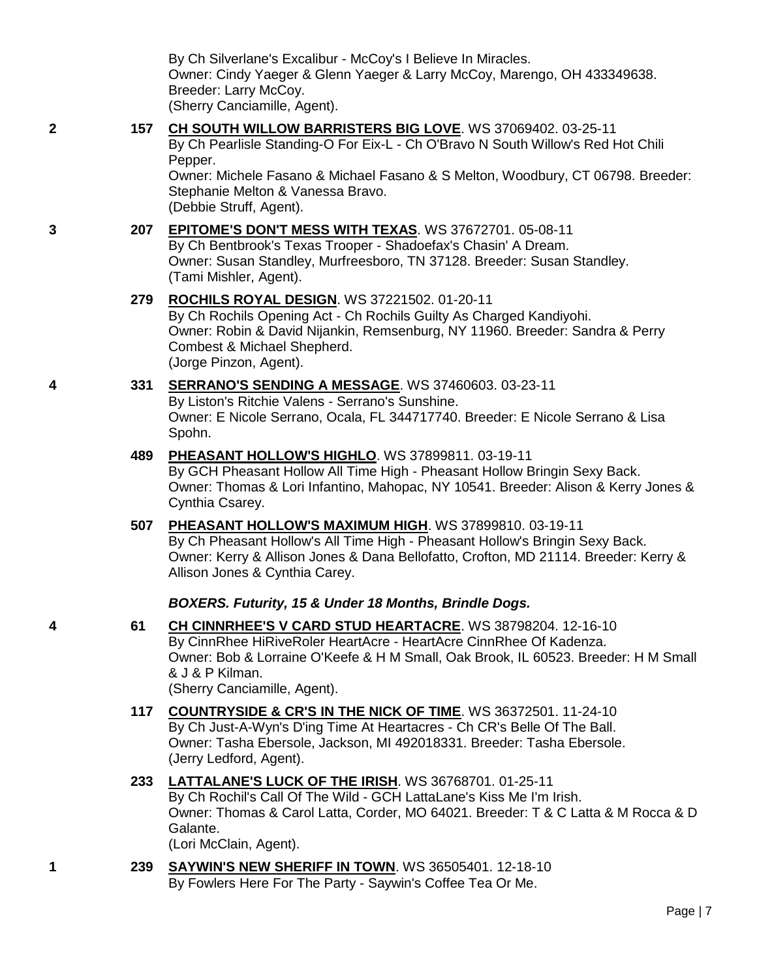|   |     | Owner: Cindy Yaeger & Glenn Yaeger & Larry McCoy, Marengo, OH 433349638.<br>Breeder: Larry McCoy.<br>(Sherry Canciamille, Agent).                                                                                                                                                                            |
|---|-----|--------------------------------------------------------------------------------------------------------------------------------------------------------------------------------------------------------------------------------------------------------------------------------------------------------------|
| 2 | 157 | CH SOUTH WILLOW BARRISTERS BIG LOVE. WS 37069402. 03-25-11<br>By Ch Pearlisle Standing-O For Eix-L - Ch O'Bravo N South Willow's Red Hot Chili<br>Pepper.<br>Owner: Michele Fasano & Michael Fasano & S Melton, Woodbury, CT 06798. Breeder:<br>Stephanie Melton & Vanessa Bravo.<br>(Debbie Struff, Agent). |
| 3 | 207 | <b>EPITOME'S DON'T MESS WITH TEXAS. WS 37672701. 05-08-11</b><br>By Ch Bentbrook's Texas Trooper - Shadoefax's Chasin' A Dream.<br>Owner: Susan Standley, Murfreesboro, TN 37128. Breeder: Susan Standley.<br>(Tami Mishler, Agent).                                                                         |
|   | 279 | <b>ROCHILS ROYAL DESIGN. WS 37221502. 01-20-11</b><br>By Ch Rochils Opening Act - Ch Rochils Guilty As Charged Kandiyohi.<br>Owner: Robin & David Nijankin, Remsenburg, NY 11960. Breeder: Sandra & Perry<br>Combest & Michael Shepherd.<br>(Jorge Pinzon, Agent).                                           |
| 4 | 331 | SERRANO'S SENDING A MESSAGE. WS 37460603. 03-23-11<br>By Liston's Ritchie Valens - Serrano's Sunshine.<br>Owner: E Nicole Serrano, Ocala, FL 344717740. Breeder: E Nicole Serrano & Lisa<br>Spohn.                                                                                                           |
|   | 489 | PHEASANT HOLLOW'S HIGHLO. WS 37899811. 03-19-11<br>By GCH Pheasant Hollow All Time High - Pheasant Hollow Bringin Sexy Back.<br>Owner: Thomas & Lori Infantino, Mahopac, NY 10541. Breeder: Alison & Kerry Jones &<br>Cynthia Csarey.                                                                        |
|   | 507 | PHEASANT HOLLOW'S MAXIMUM HIGH. WS 37899810. 03-19-11<br>By Ch Pheasant Hollow's All Time High - Pheasant Hollow's Bringin Sexy Back.<br>Owner: Kerry & Allison Jones & Dana Bellofatto, Crofton, MD 21114. Breeder: Kerry &<br>Allison Jones & Cynthia Carey.                                               |
|   |     | BOXERS. Futurity, 15 & Under 18 Months, Brindle Dogs.                                                                                                                                                                                                                                                        |
| 4 | 61  | CH CINNRHEE'S V CARD STUD HEARTACRE. WS 38798204. 12-16-10<br>By CinnRhee HiRiveRoler HeartAcre - HeartAcre CinnRhee Of Kadenza.<br>Owner: Bob & Lorraine O'Keefe & H M Small, Oak Brook, IL 60523. Breeder: H M Small<br>& J & P Kilman.<br>(Sherry Canciamille, Agent).                                    |
|   | 117 | <b>COUNTRYSIDE &amp; CR'S IN THE NICK OF TIME. WS 36372501. 11-24-10</b><br>By Ch Just-A-Wyn's D'ing Time At Heartacres - Ch CR's Belle Of The Ball.<br>Owner: Tasha Ebersole, Jackson, MI 492018331. Breeder: Tasha Ebersole.<br>(Jerry Ledford, Agent).                                                    |
|   | 233 | <b>LATTALANE'S LUCK OF THE IRISH. WS 36768701. 01-25-11</b><br>By Ch Rochil's Call Of The Wild - GCH LattaLane's Kiss Me I'm Irish.<br>Owner: Thomas & Carol Latta, Corder, MO 64021. Breeder: T & C Latta & M Rocca & D<br>Galante.<br>(Lori McClain, Agent).                                               |
| 1 | 239 | <b>SAYWIN'S NEW SHERIFF IN TOWN. WS 36505401. 12-18-10</b><br>By Fowlers Here For The Party - Saywin's Coffee Tea Or Me.                                                                                                                                                                                     |
|   |     |                                                                                                                                                                                                                                                                                                              |
|   |     | Page                                                                                                                                                                                                                                                                                                         |
|   |     |                                                                                                                                                                                                                                                                                                              |

By Ch Silverlane's Excalibur - McCoy's I Believe In Miracles.

Page | 7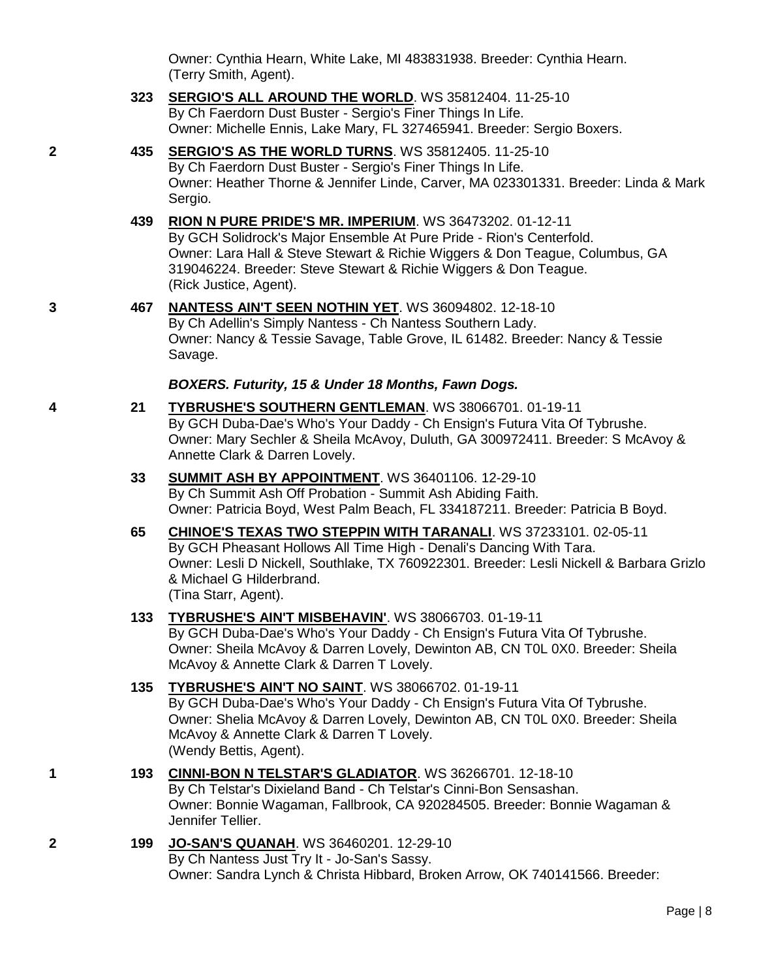Owner: Cynthia Hearn, White Lake, MI 483831938. Breeder: Cynthia Hearn. (Terry Smith, Agent).

- **323 [SERGIO'S ALL AROUND THE WORLD](http://www.infodog.com/files/bdogrsl1.prg;makc=WS%2035812404;mdog=Sergio_s_All_Around_The_World;wins=all)**. WS 35812404. 11-25-10 By Ch Faerdorn Dust Buster - Sergio's Finer Things In Life. Owner: Michelle Ennis, Lake Mary, FL 327465941. Breeder: Sergio Boxers.
- **2 435 [SERGIO'S AS THE WORLD TURNS](http://www.infodog.com/files/bdogrsl1.prg;makc=WS%2035812405;mdog=Sergio_s_As_The_World_Turns;wins=all)**. WS 35812405. 11-25-10 By Ch Faerdorn Dust Buster - Sergio's Finer Things In Life. Owner: Heather Thorne & Jennifer Linde, Carver, MA 023301331. Breeder: Linda & Mark Sergio.
	- **439 [RION N PURE PRIDE'S MR. IMPERIUM](http://www.infodog.com/files/bdogrsl1.prg;makc=WS%2036473202;mdog=Rion_N_Pure_Pride_s_Mr._Imperium;wins=all)**. WS 36473202. 01-12-11 By GCH Solidrock's Major Ensemble At Pure Pride - Rion's Centerfold. Owner: Lara Hall & Steve Stewart & Richie Wiggers & Don Teague, Columbus, GA 319046224. Breeder: Steve Stewart & Richie Wiggers & Don Teague. (Rick Justice, Agent).
- **3 467 [NANTESS AIN'T SEEN NOTHIN YET](http://www.infodog.com/files/bdogrsl1.prg;makc=WS%2036094802;mdog=Nantess_Ain_t_Seen_Nothin_Yet;wins=all)**. WS 36094802. 12-18-10 By Ch Adellin's Simply Nantess - Ch Nantess Southern Lady. Owner: Nancy & Tessie Savage, Table Grove, IL 61482. Breeder: Nancy & Tessie Savage.

### *BOXERS. Futurity, 15 & Under 18 Months, Fawn Dogs.*

- **4 21 [TYBRUSHE'S SOUTHERN GENTLEMAN](http://www.infodog.com/files/bdogrsl1.prg;makc=WS%2038066701;mdog=Tybrushe_s_Southern_Gentleman;wins=all)**. WS 38066701. 01-19-11 By GCH Duba-Dae's Who's Your Daddy - Ch Ensign's Futura Vita Of Tybrushe. Owner: Mary Sechler & Sheila McAvoy, Duluth, GA 300972411. Breeder: S McAvoy & Annette Clark & Darren Lovely.
	- **33 [SUMMIT ASH BY APPOINTMENT](http://www.infodog.com/files/bdogrsl1.prg;makc=WS%2036401106;mdog=Summit_Ash_By_Appointment;wins=all)**. WS 36401106. 12-29-10 By Ch Summit Ash Off Probation - Summit Ash Abiding Faith. Owner: Patricia Boyd, West Palm Beach, FL 334187211. Breeder: Patricia B Boyd.
	- **65 [CHINOE'S TEXAS TWO STEPPIN WITH TARANALI](http://www.infodog.com/files/bdogrsl1.prg;makc=WS%2037233101;mdog=Chinoe_s_Texas_Two_Steppin_With_Taranali;wins=all)**. WS 37233101. 02-05-11 By GCH Pheasant Hollows All Time High - Denali's Dancing With Tara. Owner: Lesli D Nickell, Southlake, TX 760922301. Breeder: Lesli Nickell & Barbara Grizlo & Michael G Hilderbrand. (Tina Starr, Agent).

### **133 [TYBRUSHE'S AIN'T MISBEHAVIN'](http://www.infodog.com/files/bdogrsl1.prg;makc=WS%2038066703;mdog=Tybrushe_s_Ain_T_Misbehavin_;wins=all)**. WS 38066703. 01-19-11

By GCH Duba-Dae's Who's Your Daddy - Ch Ensign's Futura Vita Of Tybrushe. Owner: Sheila McAvoy & Darren Lovely, Dewinton AB, CN T0L 0X0. Breeder: Sheila McAvoy & Annette Clark & Darren T Lovely.

**135 [TYBRUSHE'S AIN'T NO SAINT](http://www.infodog.com/files/bdogrsl1.prg;makc=WS%2038066702;mdog=Tybrushe_s_Ain_T_No_Saint;wins=all)**. WS 38066702. 01-19-11

By GCH Duba-Dae's Who's Your Daddy - Ch Ensign's Futura Vita Of Tybrushe. Owner: Shelia McAvoy & Darren Lovely, Dewinton AB, CN T0L 0X0. Breeder: Sheila McAvoy & Annette Clark & Darren T Lovely. (Wendy Bettis, Agent).

**1 193 [CINNI-BON N TELSTAR'S GLADIATOR](http://www.infodog.com/files/bdogrsl1.prg;makc=WS%2036266701;mdog=Cinni-Bon_N_Telstar_s_Gladiator;wins=all)**. WS 36266701. 12-18-10

By Ch Telstar's Dixieland Band - Ch Telstar's Cinni-Bon Sensashan. Owner: Bonnie Wagaman, Fallbrook, CA 920284505. Breeder: Bonnie Wagaman & Jennifer Tellier.

**2 199 [JO-SAN'S QUANAH](http://www.infodog.com/files/bdogrsl1.prg;makc=WS%2036460201;mdog=Jo-San_s_Quanah;wins=all)**. WS 36460201. 12-29-10 By Ch Nantess Just Try It - Jo-San's Sassy. Owner: Sandra Lynch & Christa Hibbard, Broken Arrow, OK 740141566. Breeder: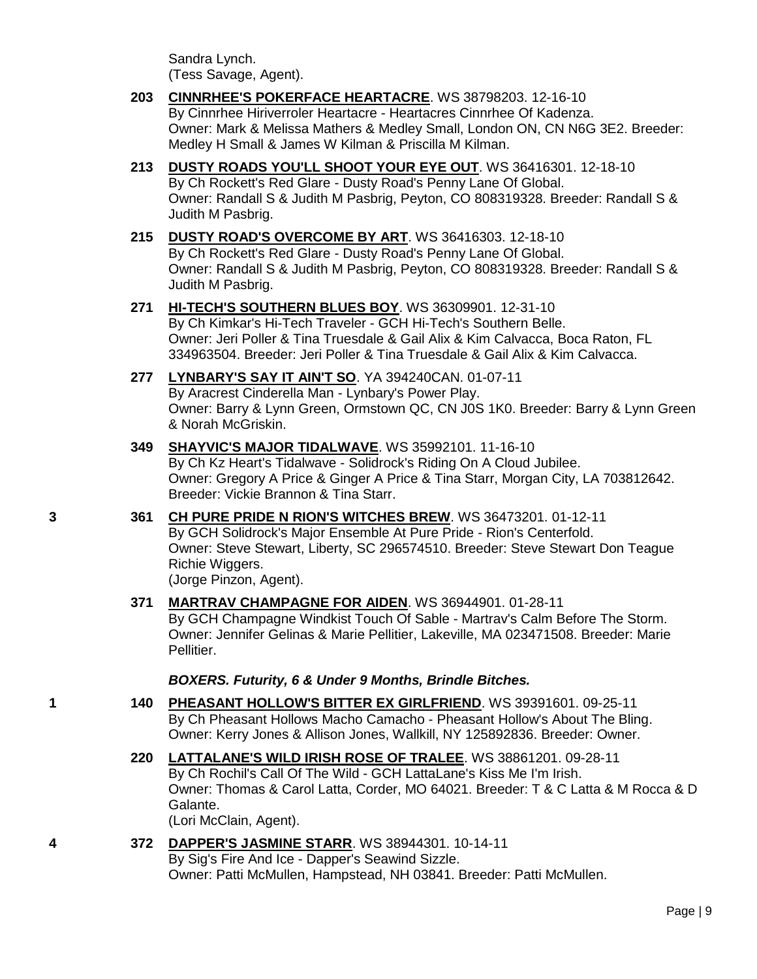Sandra Lynch. (Tess Savage, Agent).

- **203 [CINNRHEE'S POKERFACE HEARTACRE](http://www.infodog.com/files/bdogrsl1.prg;makc=WS%2038798203;mdog=Cinnrhee_s_Pokerface_Heartacre;wins=all)**. WS 38798203. 12-16-10 By Cinnrhee Hiriverroler Heartacre - Heartacres Cinnrhee Of Kadenza. Owner: Mark & Melissa Mathers & Medley Small, London ON, CN N6G 3E2. Breeder: Medley H Small & James W Kilman & Priscilla M Kilman.
- **213 [DUSTY ROADS YOU'LL SHOOT YOUR EYE OUT](http://www.infodog.com/files/bdogrsl1.prg;makc=WS%2036416301;mdog=Dusty_Roads_You_ll_Shoot_Your_Eye_Out;wins=all)**. WS 36416301. 12-18-10 By Ch Rockett's Red Glare - Dusty Road's Penny Lane Of Global. Owner: Randall S & Judith M Pasbrig, Peyton, CO 808319328. Breeder: Randall S & Judith M Pasbrig.
- **215 [DUSTY ROAD'S OVERCOME BY ART](http://www.infodog.com/files/bdogrsl1.prg;makc=WS%2036416303;mdog=Dusty_Road_s_Overcome_By_Art;wins=all)**. WS 36416303. 12-18-10 By Ch Rockett's Red Glare - Dusty Road's Penny Lane Of Global. Owner: Randall S & Judith M Pasbrig, Peyton, CO 808319328. Breeder: Randall S & Judith M Pasbrig.
- **271 [HI-TECH'S SOUTHERN BLUES BOY](http://www.infodog.com/files/bdogrsl1.prg;makc=WS%2036309901;mdog=Hi-Tech_s_Southern_Blues_Boy;wins=all)**. WS 36309901. 12-31-10 By Ch Kimkar's Hi-Tech Traveler - GCH Hi-Tech's Southern Belle. Owner: Jeri Poller & Tina Truesdale & Gail Alix & Kim Calvacca, Boca Raton, FL 334963504. Breeder: Jeri Poller & Tina Truesdale & Gail Alix & Kim Calvacca.
- **277 [LYNBARY'S SAY IT AIN'T SO](http://www.infodog.com/files/bdogrsl1.prg;makc=YA%20394240CAN;mdog=Lynbary_s_Say_It_Ain_t_So;wins=all)**. YA 394240CAN. 01-07-11

By Aracrest Cinderella Man - Lynbary's Power Play. Owner: Barry & Lynn Green, Ormstown QC, CN J0S 1K0. Breeder: Barry & Lynn Green & Norah McGriskin.

- **349 [SHAYVIC'S MAJOR TIDALWAVE](http://www.infodog.com/files/bdogrsl1.prg;makc=WS%2035992101;mdog=Shayvic_s_Major_Tidalwave;wins=all)**. WS 35992101. 11-16-10 By Ch Kz Heart's Tidalwave - Solidrock's Riding On A Cloud Jubilee. Owner: Gregory A Price & Ginger A Price & Tina Starr, Morgan City, LA 703812642. Breeder: Vickie Brannon & Tina Starr.
- **3 361 [CH PURE PRIDE N RION'S WITCHES BREW](http://www.infodog.com/files/bdogrsl1.prg;makc=WS%2036473201;mdog=Ch_Pure_Pride_N_Rion_s_Witches_Brew;wins=all)**. WS 36473201. 01-12-11 By GCH Solidrock's Major Ensemble At Pure Pride - Rion's Centerfold. Owner: Steve Stewart, Liberty, SC 296574510. Breeder: Steve Stewart Don Teague Richie Wiggers. (Jorge Pinzon, Agent).
	- **371 [MARTRAV CHAMPAGNE FOR AIDEN](http://www.infodog.com/files/bdogrsl1.prg;makc=WS%2036944901;mdog=Martrav_Champagne_For_Aiden;wins=all)**. WS 36944901. 01-28-11 By GCH Champagne Windkist Touch Of Sable - Martrav's Calm Before The Storm. Owner: Jennifer Gelinas & Marie Pellitier, Lakeville, MA 023471508. Breeder: Marie Pellitier.

*BOXERS. Futurity, 6 & Under 9 Months, Brindle Bitches.*

- **1 140 [PHEASANT HOLLOW'S BITTER EX GIRLFRIEND](http://www.infodog.com/files/bdogrsl1.prg;makc=WS%2039391601;mdog=Pheasant_Hollow_s_Bitter_Ex_Girlfriend;wins=all)**. WS 39391601. 09-25-11 By Ch Pheasant Hollows Macho Camacho - Pheasant Hollow's About The Bling. Owner: Kerry Jones & Allison Jones, Wallkill, NY 125892836. Breeder: Owner.
	- **220 [LATTALANE'S WILD IRISH ROSE OF TRALEE](http://www.infodog.com/files/bdogrsl1.prg;makc=WS%2038861201;mdog=LattaLane_s_Wild_Irish_Rose_Of_Tralee;wins=all)**. WS 38861201. 09-28-11 By Ch Rochil's Call Of The Wild - GCH LattaLane's Kiss Me I'm Irish. Owner: Thomas & Carol Latta, Corder, MO 64021. Breeder: T & C Latta & M Rocca & D Galante. (Lori McClain, Agent).
- **4 372 [DAPPER'S JASMINE STARR](http://www.infodog.com/files/bdogrsl1.prg;makc=WS%2038944301;mdog=Dapper_s_Jasmine_Starr;wins=all)**. WS 38944301. 10-14-11 By Sig's Fire And Ice - Dapper's Seawind Sizzle. Owner: Patti McMullen, Hampstead, NH 03841. Breeder: Patti McMullen.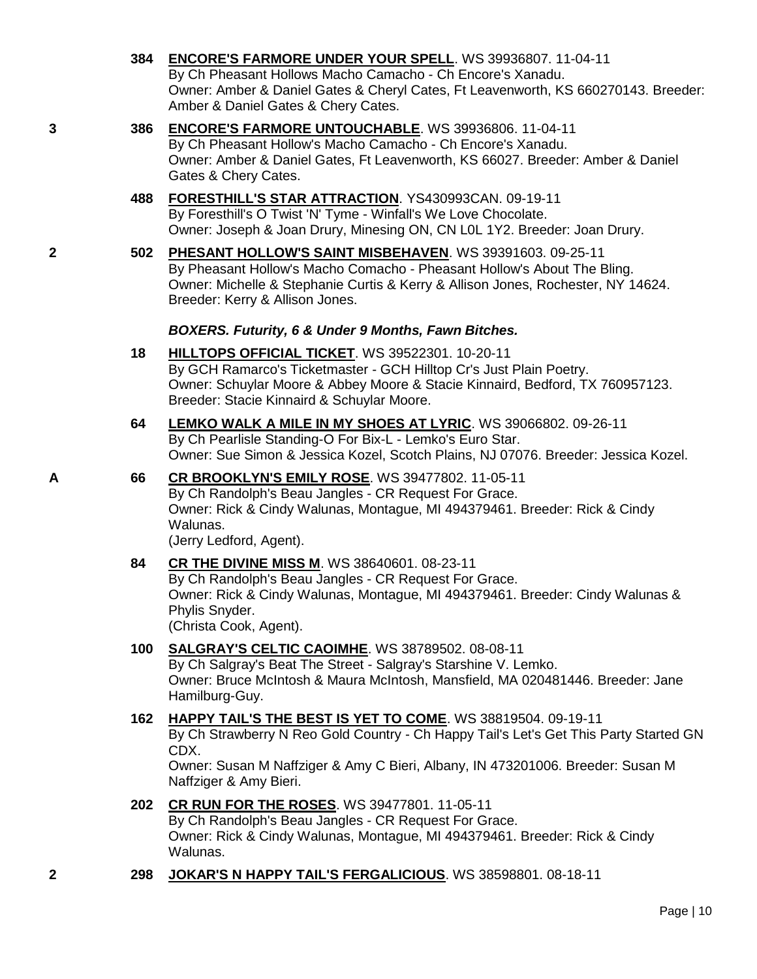**384 [ENCORE'S FARMORE UNDER YOUR SPELL](http://www.infodog.com/files/bdogrsl1.prg;makc=WS%2039936807;mdog=Encore_s_Farmore_Under_Your_Spell;wins=all)**. WS 39936807. 11-04-11 By Ch Pheasant Hollows Macho Camacho - Ch Encore's Xanadu. Owner: Amber & Daniel Gates & Cheryl Cates, Ft Leavenworth, KS 660270143. Breeder: Amber & Daniel Gates & Chery Cates. **3 386 [ENCORE'S FARMORE UNTOUCHABLE](http://www.infodog.com/files/bdogrsl1.prg;makc=WS%2039936806;mdog=Encore_s_Farmore_Untouchable;wins=all)**. WS 39936806. 11-04-11 By Ch Pheasant Hollow's Macho Camacho - Ch Encore's Xanadu. Owner: Amber & Daniel Gates, Ft Leavenworth, KS 66027. Breeder: Amber & Daniel Gates & Chery Cates. **488 [FORESTHILL'S STAR ATTRACTION](http://www.infodog.com/files/bdogrsl1.prg;makc=YS430993CAN;mdog=Foresthill_s_Star_Attraction;wins=all)**. YS430993CAN. 09-19-11 By Foresthill's O Twist 'N' Tyme - Winfall's We Love Chocolate. Owner: Joseph & Joan Drury, Minesing ON, CN L0L 1Y2. Breeder: Joan Drury. **2 502 [PHESANT HOLLOW'S SAINT MISBEHAVEN](http://www.infodog.com/files/bdogrsl1.prg;makc=WS%2039391603;mdog=Phesant_Hollow_s_Saint_Misbehaven;wins=all)**. WS 39391603. 09-25-11 By Pheasant Hollow's Macho Comacho - Pheasant Hollow's About The Bling. Owner: Michelle & Stephanie Curtis & Kerry & Allison Jones, Rochester, NY 14624. Breeder: Kerry & Allison Jones. *BOXERS. Futurity, 6 & Under 9 Months, Fawn Bitches.* **18 [HILLTOPS OFFICIAL TICKET](http://www.infodog.com/files/bdogrsl1.prg;makc=WS%2039522301;mdog=Hilltops_Official_Ticket;wins=all)**. WS 39522301. 10-20-11 By GCH Ramarco's Ticketmaster - GCH Hilltop Cr's Just Plain Poetry. Owner: Schuylar Moore & Abbey Moore & Stacie Kinnaird, Bedford, TX 760957123. Breeder: Stacie Kinnaird & Schuylar Moore. **64 [LEMKO WALK A MILE IN MY SHOES AT LYRIC](http://www.infodog.com/files/bdogrsl1.prg;makc=WS%2039066802;mdog=Lemko_Walk_A_Mile_In_My_Shoes_At_Lyric;wins=all)**. WS 39066802. 09-26-11 By Ch Pearlisle Standing-O For Bix-L - Lemko's Euro Star. Owner: Sue Simon & Jessica Kozel, Scotch Plains, NJ 07076. Breeder: Jessica Kozel. **A 66 [CR BROOKLYN'S EMILY ROSE](http://www.infodog.com/files/bdogrsl1.prg;makc=WS%2039477802;mdog=CR_Brooklyn_s_Emily_Rose;wins=all)**. WS 39477802. 11-05-11 By Ch Randolph's Beau Jangles - CR Request For Grace. Owner: Rick & Cindy Walunas, Montague, MI 494379461. Breeder: Rick & Cindy Walunas. (Jerry Ledford, Agent). **84 [CR THE DIVINE MISS M](http://www.infodog.com/files/bdogrsl1.prg;makc=WS%2038640601;mdog=CR_The_Divine_Miss_M;wins=all)**. WS 38640601. 08-23-11 By Ch Randolph's Beau Jangles - CR Request For Grace. Owner: Rick & Cindy Walunas, Montague, MI 494379461. Breeder: Cindy Walunas & Phylis Snyder. (Christa Cook, Agent). **100 [SALGRAY'S CELTIC CAOIMHE](http://www.infodog.com/files/bdogrsl1.prg;makc=WS%2038789502;mdog=Salgray_s_Celtic_Caoimhe;wins=all)**. WS 38789502. 08-08-11 By Ch Salgray's Beat The Street - Salgray's Starshine V. Lemko. Owner: Bruce McIntosh & Maura McIntosh, Mansfield, MA 020481446. Breeder: Jane Hamilburg-Guy. **162 [HAPPY TAIL'S THE BEST IS YET TO COME](http://www.infodog.com/files/bdogrsl1.prg;makc=WS%2038819504;mdog=Happy_Tail_s_The_Best_Is_Yet_To_Come;wins=all)**. WS 38819504. 09-19-11 By Ch Strawberry N Reo Gold Country - Ch Happy Tail's Let's Get This Party Started GN CDX.

Owner: Susan M Naffziger & Amy C Bieri, Albany, IN 473201006. Breeder: Susan M Naffziger & Amy Bieri.

- **202 [CR RUN FOR THE ROSES](http://www.infodog.com/files/bdogrsl1.prg;makc=WS%2039477801;mdog=CR_Run_For_The_Roses;wins=all)**. WS 39477801. 11-05-11 By Ch Randolph's Beau Jangles - CR Request For Grace. Owner: Rick & Cindy Walunas, Montague, MI 494379461. Breeder: Rick & Cindy Walunas.
- **2 298 [JOKAR'S N HAPPY TAIL'S FERGALICIOUS](http://www.infodog.com/files/bdogrsl1.prg;makc=WS%2038598801;mdog=Jokar_s_N_Happy_Tail_s_Fergalicious;wins=all)**. WS 38598801. 08-18-11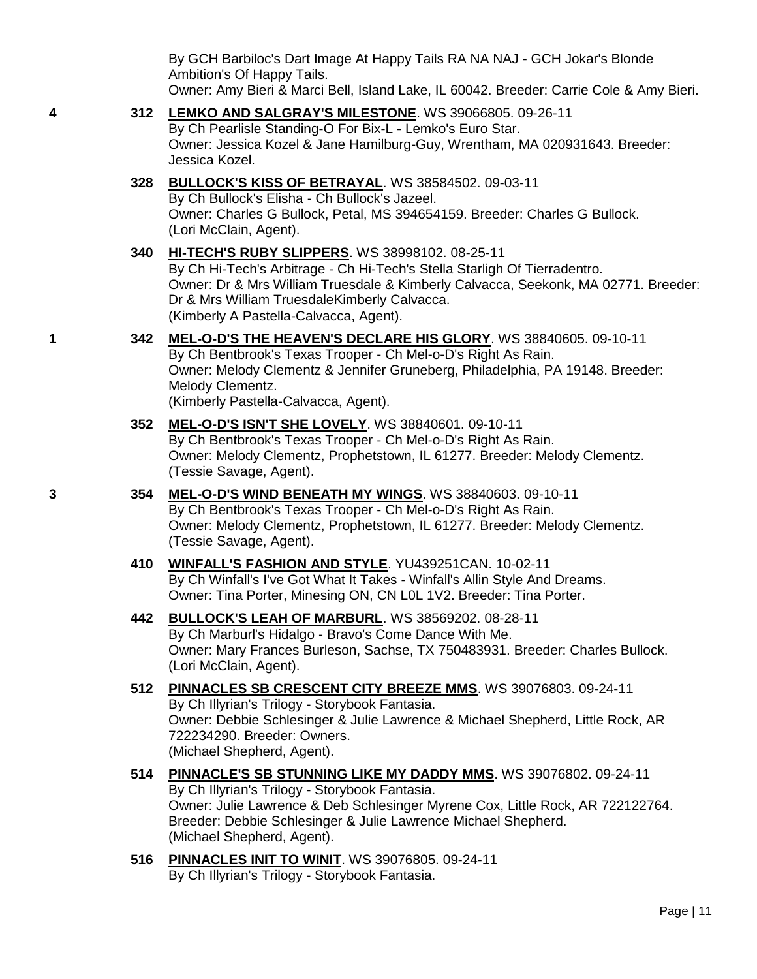By GCH Barbiloc's Dart Image At Happy Tails RA NA NAJ - GCH Jokar's Blonde Ambition's Of Happy Tails. Owner: Amy Bieri & Marci Bell, Island Lake, IL 60042. Breeder: Carrie Cole & Amy Bieri.

- **4 312 [LEMKO AND SALGRAY'S MILESTONE](http://www.infodog.com/files/bdogrsl1.prg;makc=WS%2039066805;mdog=Lemko_And_Salgray_s_Milestone;wins=all)**. WS 39066805. 09-26-11 By Ch Pearlisle Standing-O For Bix-L - Lemko's Euro Star. Owner: Jessica Kozel & Jane Hamilburg-Guy, Wrentham, MA 020931643. Breeder: Jessica Kozel. **328 [BULLOCK'S KISS OF BETRAYAL](http://www.infodog.com/files/bdogrsl1.prg;makc=WS%2038584502;mdog=Bullock_s_Kiss_Of_Betrayal;wins=all)**. WS 38584502. 09-03-11 By Ch Bullock's Elisha - Ch Bullock's Jazeel. Owner: Charles G Bullock, Petal, MS 394654159. Breeder: Charles G Bullock. (Lori McClain, Agent). **340 [HI-TECH'S RUBY SLIPPERS](http://www.infodog.com/files/bdogrsl1.prg;makc=WS%2038998102;mdog=Hi-Tech_s_Ruby_Slippers;wins=all)**. WS 38998102. 08-25-11 By Ch Hi-Tech's Arbitrage - Ch Hi-Tech's Stella Starligh Of Tierradentro. Owner: Dr & Mrs William Truesdale & Kimberly Calvacca, Seekonk, MA 02771. Breeder: Dr & Mrs William TruesdaleKimberly Calvacca. (Kimberly A Pastella-Calvacca, Agent). **1 342 [MEL-O-D'S THE HEAVEN'S DECLARE HIS GLORY](http://www.infodog.com/files/bdogrsl1.prg;makc=WS%2038840605;mdog=Mel-o-D_s_The_Heaven_s_Declare_His_Glory;wins=all)**. WS 38840605. 09-10-11 By Ch Bentbrook's Texas Trooper - Ch Mel-o-D's Right As Rain. Owner: Melody Clementz & Jennifer Gruneberg, Philadelphia, PA 19148. Breeder: Melody Clementz. (Kimberly Pastella-Calvacca, Agent). **352 [MEL-O-D'S ISN'T SHE LOVELY](http://www.infodog.com/files/bdogrsl1.prg;makc=WS%2038840601;mdog=Mel-o-D_s_Isn_t_She_Lovely;wins=all)**. WS 38840601. 09-10-11 By Ch Bentbrook's Texas Trooper - Ch Mel-o-D's Right As Rain. Owner: Melody Clementz, Prophetstown, IL 61277. Breeder: Melody Clementz. (Tessie Savage, Agent). **3 354 [MEL-O-D'S WIND BENEATH MY WINGS](http://www.infodog.com/files/bdogrsl1.prg;makc=WS%2038840603;mdog=Mel-o-D_s_Wind_Beneath_My_Wings;wins=all)**. WS 38840603. 09-10-11 By Ch Bentbrook's Texas Trooper - Ch Mel-o-D's Right As Rain. Owner: Melody Clementz, Prophetstown, IL 61277. Breeder: Melody Clementz. (Tessie Savage, Agent).
	- **410 [WINFALL'S FASHION AND STYLE](http://www.infodog.com/files/bdogrsl1.prg;makc=YU439251CAN;mdog=Winfall_s_Fashion_And_Style;wins=all)**. YU439251CAN. 10-02-11 By Ch Winfall's I've Got What It Takes - Winfall's Allin Style And Dreams. Owner: Tina Porter, Minesing ON, CN L0L 1V2. Breeder: Tina Porter.
	- **442 [BULLOCK'S LEAH OF MARBURL](http://www.infodog.com/files/bdogrsl1.prg;makc=WS%2038569202;mdog=Bullock_s_Leah_Of_Marburl;wins=all)**. WS 38569202. 08-28-11 By Ch Marburl's Hidalgo - Bravo's Come Dance With Me. Owner: Mary Frances Burleson, Sachse, TX 750483931. Breeder: Charles Bullock. (Lori McClain, Agent).
	- **512 [PINNACLES SB CRESCENT CITY BREEZE MMS](http://www.infodog.com/files/bdogrsl1.prg;makc=WS%2039076803;mdog=Pinnacles_Sb_Crescent_City_Breeze_Mms;wins=all)**. WS 39076803. 09-24-11 By Ch Illyrian's Trilogy - Storybook Fantasia. Owner: Debbie Schlesinger & Julie Lawrence & Michael Shepherd, Little Rock, AR 722234290. Breeder: Owners. (Michael Shepherd, Agent).
	- **514 [PINNACLE'S SB STUNNING LIKE MY DADDY MMS](http://www.infodog.com/files/bdogrsl1.prg;makc=WS%2039076802;mdog=Pinnacle_s_Sb_Stunning_Like_My_Daddy_Mms;wins=all)**. WS 39076802. 09-24-11 By Ch Illyrian's Trilogy - Storybook Fantasia. Owner: Julie Lawrence & Deb Schlesinger Myrene Cox, Little Rock, AR 722122764. Breeder: Debbie Schlesinger & Julie Lawrence Michael Shepherd. (Michael Shepherd, Agent).
	- **516 [PINNACLES INIT TO WINIT](http://www.infodog.com/files/bdogrsl1.prg;makc=WS%2039076805;mdog=Pinnacles_Init_To_Winit;wins=all)**. WS 39076805. 09-24-11 By Ch Illyrian's Trilogy - Storybook Fantasia.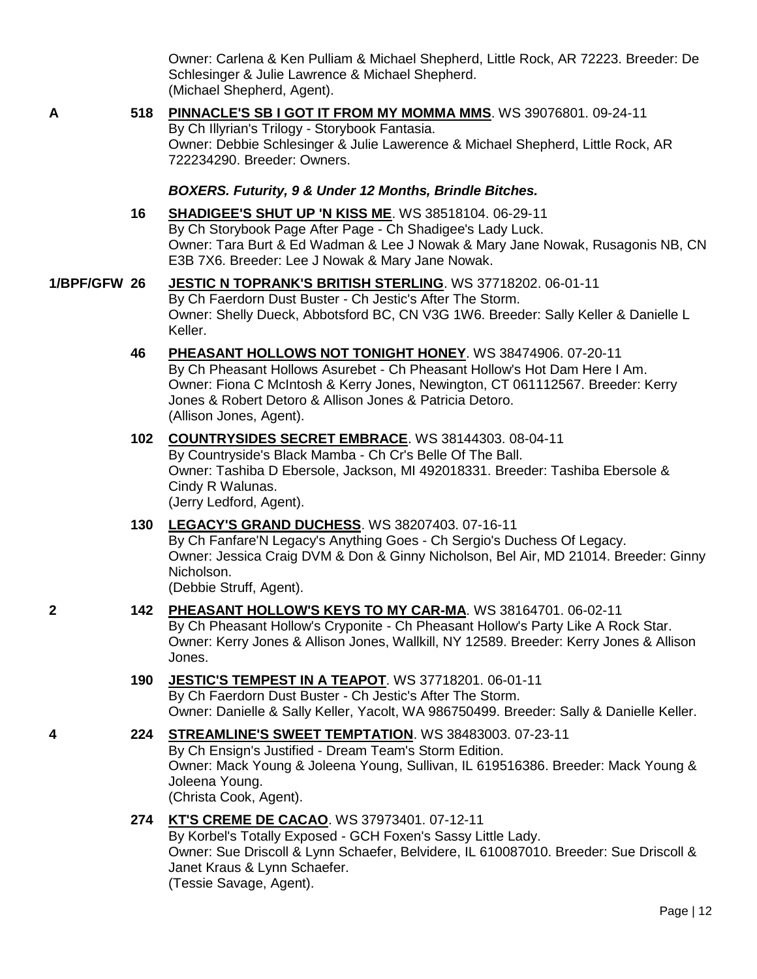Owner: Carlena & Ken Pulliam & Michael Shepherd, Little Rock, AR 72223. Breeder: De Schlesinger & Julie Lawrence & Michael Shepherd. (Michael Shepherd, Agent).

**A 518 [PINNACLE'S SB I GOT IT FROM MY MOMMA MMS](http://www.infodog.com/files/bdogrsl1.prg;makc=WS%2039076801;mdog=Pinnacle_s_Sb_I_Got_It_From_My_Momma_Mms;wins=all)**. WS 39076801. 09-24-11 By Ch Illyrian's Trilogy - Storybook Fantasia. Owner: Debbie Schlesinger & Julie Lawerence & Michael Shepherd, Little Rock, AR

722234290. Breeder: Owners.

### *BOXERS. Futurity, 9 & Under 12 Months, Brindle Bitches.*

### **16 [SHADIGEE'S SHUT UP 'N KISS ME](http://www.infodog.com/files/bdogrsl1.prg;makc=WS%2038518104;mdog=Shadigee_s_Shut_Up__N_Kiss_Me;wins=all)**. WS 38518104. 06-29-11 By Ch Storybook Page After Page - Ch Shadigee's Lady Luck. Owner: Tara Burt & Ed Wadman & Lee J Nowak & Mary Jane Nowak, Rusagonis NB, CN E3B 7X6. Breeder: Lee J Nowak & Mary Jane Nowak.

- **1/BPF/GFW 26 [JESTIC N TOPRANK'S BRITISH STERLING](http://www.infodog.com/files/bdogrsl1.prg;makc=WS%2037718202;mdog=Jestic_N_Toprank_s_British_Sterling;wins=all)**. WS 37718202. 06-01-11 By Ch Faerdorn Dust Buster - Ch Jestic's After The Storm. Owner: Shelly Dueck, Abbotsford BC, CN V3G 1W6. Breeder: Sally Keller & Danielle L Keller.
	- **46 [PHEASANT HOLLOWS NOT TONIGHT HONEY](http://www.infodog.com/files/bdogrsl1.prg;makc=WS%2038474906;mdog=Pheasant_Hollows_Not_Tonight_Honey;wins=all)**. WS 38474906. 07-20-11 By Ch Pheasant Hollows Asurebet - Ch Pheasant Hollow's Hot Dam Here I Am. Owner: Fiona C McIntosh & Kerry Jones, Newington, CT 061112567. Breeder: Kerry Jones & Robert Detoro & Allison Jones & Patricia Detoro. (Allison Jones, Agent).
	- **102 [COUNTRYSIDES SECRET EMBRACE](http://www.infodog.com/files/bdogrsl1.prg;makc=WS%2038144303;mdog=Countrysides_Secret_Embrace;wins=all)**. WS 38144303. 08-04-11 By Countryside's Black Mamba - Ch Cr's Belle Of The Ball. Owner: Tashiba D Ebersole, Jackson, MI 492018331. Breeder: Tashiba Ebersole & Cindy R Walunas. (Jerry Ledford, Agent).
	- **130 [LEGACY'S GRAND DUCHESS](http://www.infodog.com/files/bdogrsl1.prg;makc=WS%2038207403;mdog=Legacy_s_Grand_Duchess;wins=all)**. WS 38207403. 07-16-11 By Ch Fanfare'N Legacy's Anything Goes - Ch Sergio's Duchess Of Legacy. Owner: Jessica Craig DVM & Don & Ginny Nicholson, Bel Air, MD 21014. Breeder: Ginny Nicholson.

(Debbie Struff, Agent).

### **2 142 [PHEASANT HOLLOW'S KEYS TO MY CAR-MA](http://www.infodog.com/files/bdogrsl1.prg;makc=WS%2038164701;mdog=Pheasant_Hollow_s_Keys_To_My_Car-Ma;wins=all)**. WS 38164701. 06-02-11

By Ch Pheasant Hollow's Cryponite - Ch Pheasant Hollow's Party Like A Rock Star. Owner: Kerry Jones & Allison Jones, Wallkill, NY 12589. Breeder: Kerry Jones & Allison Jones.

- **190 [JESTIC'S TEMPEST IN A TEAPOT](http://www.infodog.com/files/bdogrsl1.prg;makc=WS%2037718201;mdog=Jestic_s_Tempest_In_A_Teapot;wins=all)**. WS 37718201. 06-01-11 By Ch Faerdorn Dust Buster - Ch Jestic's After The Storm. Owner: Danielle & Sally Keller, Yacolt, WA 986750499. Breeder: Sally & Danielle Keller.
- **4 224 [STREAMLINE'S SWEET TEMPTATION](http://www.infodog.com/files/bdogrsl1.prg;makc=WS%2038483003;mdog=Streamline_s_Sweet_Temptation;wins=all)**. WS 38483003. 07-23-11 By Ch Ensign's Justified - Dream Team's Storm Edition. Owner: Mack Young & Joleena Young, Sullivan, IL 619516386. Breeder: Mack Young & Joleena Young. (Christa Cook, Agent).

### **274 [KT'S CREME DE CACAO](http://www.infodog.com/files/bdogrsl1.prg;makc=WS%2037973401;mdog=KT_s_Creme_De_Cacao;wins=all)**. WS 37973401. 07-12-11

By Korbel's Totally Exposed - GCH Foxen's Sassy Little Lady. Owner: Sue Driscoll & Lynn Schaefer, Belvidere, IL 610087010. Breeder: Sue Driscoll & Janet Kraus & Lynn Schaefer. (Tessie Savage, Agent).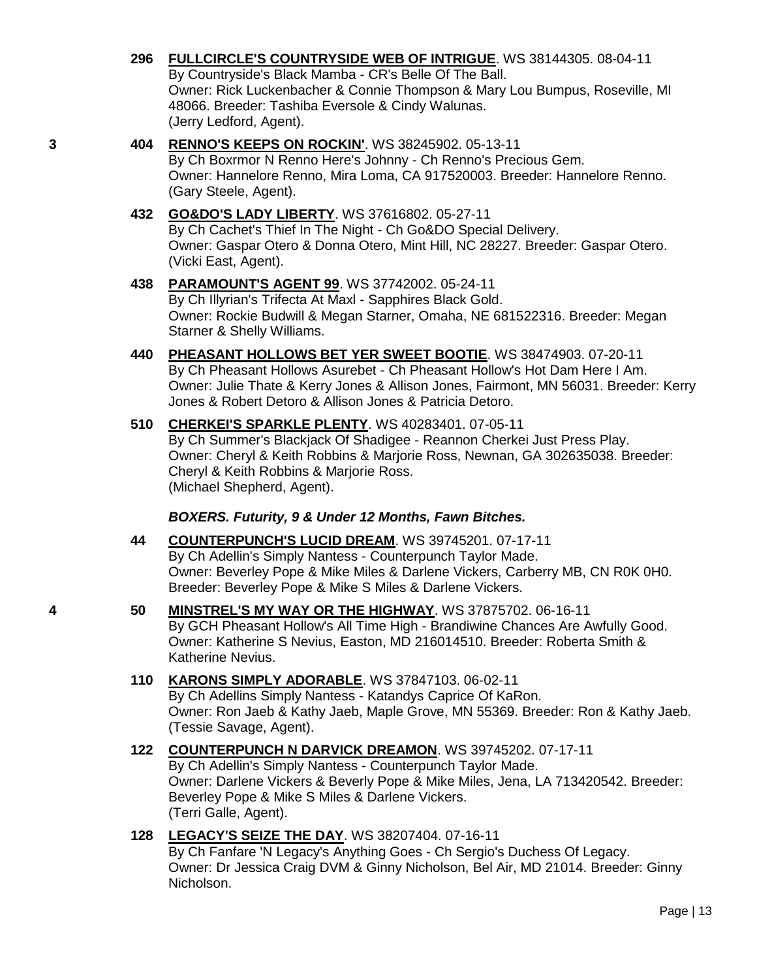**296 [FULLCIRCLE'S COUNTRYSIDE WEB OF INTRIGUE](http://www.infodog.com/files/bdogrsl1.prg;makc=WS%2038144305;mdog=Fullcircle_s_Countryside_Web_Of_Intrigue;wins=all)**. WS 38144305. 08-04-11 By Countryside's Black Mamba - CR's Belle Of The Ball. Owner: Rick Luckenbacher & Connie Thompson & Mary Lou Bumpus, Roseville, MI 48066. Breeder: Tashiba Eversole & Cindy Walunas. (Jerry Ledford, Agent).

### **3 404 [RENNO'S KEEPS ON ROCKIN'](http://www.infodog.com/files/bdogrsl1.prg;makc=WS%2038245902;mdog=Renno_s_Keeps_On_Rockin_;wins=all)**. WS 38245902. 05-13-11

By Ch Boxrmor N Renno Here's Johnny - Ch Renno's Precious Gem. Owner: Hannelore Renno, Mira Loma, CA 917520003. Breeder: Hannelore Renno. (Gary Steele, Agent).

## **432 [GO&DO'S LADY LIBERTY](http://www.infodog.com/files/bdogrsl1.prg;makc=WS%2037616802;mdog=Go&Do_s_Lady_Liberty;wins=all)**. WS 37616802. 05-27-11

By Ch Cachet's Thief In The Night - Ch Go&DO Special Delivery. Owner: Gaspar Otero & Donna Otero, Mint Hill, NC 28227. Breeder: Gaspar Otero. (Vicki East, Agent).

## **438 [PARAMOUNT'S AGENT 99](http://www.infodog.com/files/bdogrsl1.prg;makc=WS%2037742002;mdog=Paramount_s_Agent_99;wins=all)**. WS 37742002. 05-24-11

By Ch Illyrian's Trifecta At Maxl - Sapphires Black Gold. Owner: Rockie Budwill & Megan Starner, Omaha, NE 681522316. Breeder: Megan Starner & Shelly Williams.

**440 [PHEASANT HOLLOWS BET YER SWEET BOOTIE](http://www.infodog.com/files/bdogrsl1.prg;makc=WS%2038474903;mdog=Pheasant_Hollows_Bet_Yer_Sweet_Bootie;wins=all)**. WS 38474903. 07-20-11 By Ch Pheasant Hollows Asurebet - Ch Pheasant Hollow's Hot Dam Here I Am. Owner: Julie Thate & Kerry Jones & Allison Jones, Fairmont, MN 56031. Breeder: Kerry Jones & Robert Detoro & Allison Jones & Patricia Detoro.

### **510 [CHERKEI'S SPARKLE PLENTY](http://www.infodog.com/files/bdogrsl1.prg;makc=WS%2040283401;mdog=Cherkei_s_Sparkle_Plenty;wins=all)**. WS 40283401. 07-05-11 By Ch Summer's Blackjack Of Shadigee - Reannon Cherkei Just Press Play. Owner: Cheryl & Keith Robbins & Marjorie Ross, Newnan, GA 302635038. Breeder: Cheryl & Keith Robbins & Marjorie Ross. (Michael Shepherd, Agent).

### *BOXERS. Futurity, 9 & Under 12 Months, Fawn Bitches.*

- **44 [COUNTERPUNCH'S LUCID DREAM](http://www.infodog.com/files/bdogrsl1.prg;makc=WS%2039745201;mdog=Counterpunch_s_Lucid_Dream;wins=all)**. WS 39745201. 07-17-11 By Ch Adellin's Simply Nantess - Counterpunch Taylor Made. Owner: Beverley Pope & Mike Miles & Darlene Vickers, Carberry MB, CN R0K 0H0. Breeder: Beverley Pope & Mike S Miles & Darlene Vickers.
- **4 50 [MINSTREL'S MY WAY OR THE HIGHWAY](http://www.infodog.com/files/bdogrsl1.prg;makc=WS%2037875702;mdog=Minstrel_s_My_Way_Or_The_Highway;wins=all)**. WS 37875702. 06-16-11 By GCH Pheasant Hollow's All Time High - Brandiwine Chances Are Awfully Good. Owner: Katherine S Nevius, Easton, MD 216014510. Breeder: Roberta Smith & Katherine Nevius.

## **110 [KARONS SIMPLY ADORABLE](http://www.infodog.com/files/bdogrsl1.prg;makc=WS%2037847103;mdog=KaRons_Simply_Adorable;wins=all)**. WS 37847103. 06-02-11

By Ch Adellins Simply Nantess - Katandys Caprice Of KaRon. Owner: Ron Jaeb & Kathy Jaeb, Maple Grove, MN 55369. Breeder: Ron & Kathy Jaeb. (Tessie Savage, Agent).

# **122 [COUNTERPUNCH N DARVICK DREAMON](http://www.infodog.com/files/bdogrsl1.prg;makc=WS%2039745202;mdog=Counterpunch_N_Darvick_Dreamon;wins=all)**. WS 39745202. 07-17-11

By Ch Adellin's Simply Nantess - Counterpunch Taylor Made. Owner: Darlene Vickers & Beverly Pope & Mike Miles, Jena, LA 713420542. Breeder: Beverley Pope & Mike S Miles & Darlene Vickers. (Terri Galle, Agent).

## **128 [LEGACY'S SEIZE THE DAY](http://www.infodog.com/files/bdogrsl1.prg;makc=WS%2038207404;mdog=Legacy_s_Seize_The_Day;wins=all)**. WS 38207404. 07-16-11

By Ch Fanfare 'N Legacy's Anything Goes - Ch Sergio's Duchess Of Legacy. Owner: Dr Jessica Craig DVM & Ginny Nicholson, Bel Air, MD 21014. Breeder: Ginny Nicholson.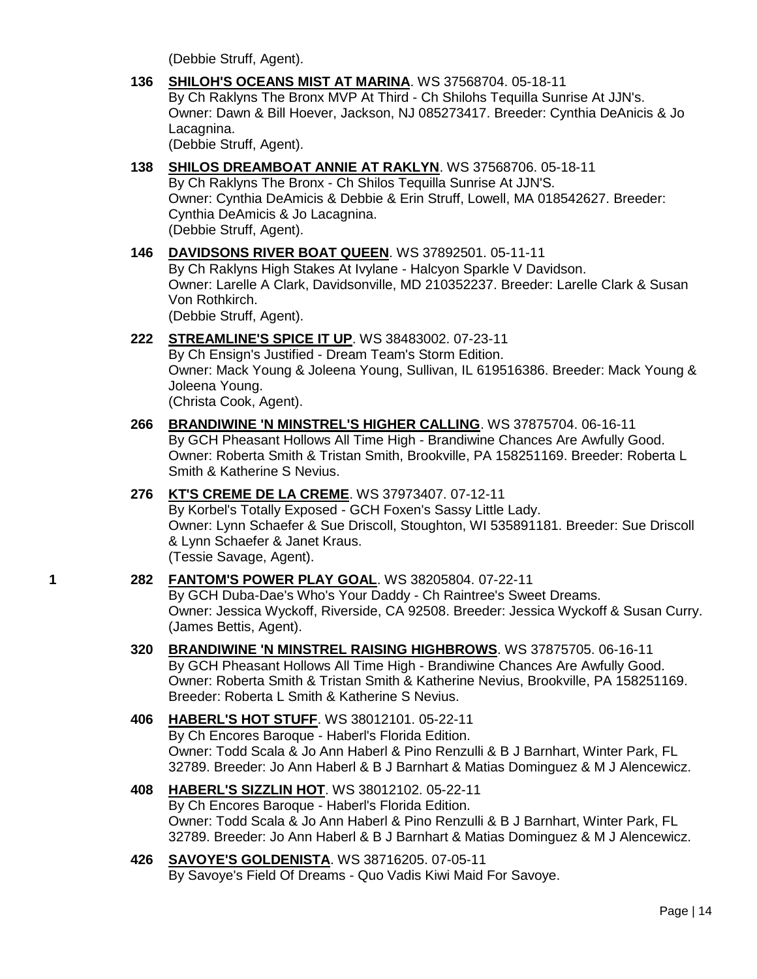(Debbie Struff, Agent).

**136 [SHILOH'S OCEANS MIST AT MARINA](http://www.infodog.com/files/bdogrsl1.prg;makc=WS%2037568704;mdog=Shiloh_s_Oceans_Mist_At_Marina;wins=all)**. WS 37568704. 05-18-11 By Ch Raklyns The Bronx MVP At Third - Ch Shilohs Tequilla Sunrise At JJN's. Owner: Dawn & Bill Hoever, Jackson, NJ 085273417. Breeder: Cynthia DeAnicis & Jo Lacagnina.

(Debbie Struff, Agent).

- **138 [SHILOS DREAMBOAT ANNIE AT RAKLYN](http://www.infodog.com/files/bdogrsl1.prg;makc=WS%2037568706;mdog=Shilos_Dreamboat_Annie_At_Raklyn;wins=all)**. WS 37568706. 05-18-11 By Ch Raklyns The Bronx - Ch Shilos Tequilla Sunrise At JJN'S. Owner: Cynthia DeAmicis & Debbie & Erin Struff, Lowell, MA 018542627. Breeder: Cynthia DeAmicis & Jo Lacagnina. (Debbie Struff, Agent).
- **146 [DAVIDSONS RIVER BOAT QUEEN](http://www.infodog.com/files/bdogrsl1.prg;makc=WS%2037892501;mdog=Davidsons_River_Boat_Queen;wins=all)**. WS 37892501. 05-11-11 By Ch Raklyns High Stakes At Ivylane - Halcyon Sparkle V Davidson. Owner: Larelle A Clark, Davidsonville, MD 210352237. Breeder: Larelle Clark & Susan Von Rothkirch. (Debbie Struff, Agent).
- **222 [STREAMLINE'S SPICE IT UP](http://www.infodog.com/files/bdogrsl1.prg;makc=WS%2038483002;mdog=Streamline_s_Spice_It_Up;wins=all)**. WS 38483002. 07-23-11 By Ch Ensign's Justified - Dream Team's Storm Edition. Owner: Mack Young & Joleena Young, Sullivan, IL 619516386. Breeder: Mack Young & Joleena Young. (Christa Cook, Agent).
- **266 [BRANDIWINE 'N MINSTREL'S HIGHER CALLING](http://www.infodog.com/files/bdogrsl1.prg;makc=WS%2037875704;mdog=Brandiwine__N_Minstrel_s_Higher_Calling;wins=all)**. WS 37875704. 06-16-11 By GCH Pheasant Hollows All Time High - Brandiwine Chances Are Awfully Good. Owner: Roberta Smith & Tristan Smith, Brookville, PA 158251169. Breeder: Roberta L Smith & Katherine S Nevius.
- **276 [KT'S CREME DE LA CREME](http://www.infodog.com/files/bdogrsl1.prg;makc=WS%2037973407;mdog=KT_s_Creme_De_La_Creme;wins=all)**. WS 37973407. 07-12-11 By Korbel's Totally Exposed - GCH Foxen's Sassy Little Lady. Owner: Lynn Schaefer & Sue Driscoll, Stoughton, WI 535891181. Breeder: Sue Driscoll & Lynn Schaefer & Janet Kraus. (Tessie Savage, Agent).
- **1 282 [FANTOM'S POWER PLAY GOAL](http://www.infodog.com/files/bdogrsl1.prg;makc=WS%2038205804;mdog=Fantom_s_Power_Play_Goal;wins=all)**. WS 38205804. 07-22-11 By GCH Duba-Dae's Who's Your Daddy - Ch Raintree's Sweet Dreams. Owner: Jessica Wyckoff, Riverside, CA 92508. Breeder: Jessica Wyckoff & Susan Curry. (James Bettis, Agent).
	- **320 [BRANDIWINE 'N MINSTREL RAISING HIGHBROWS](http://www.infodog.com/files/bdogrsl1.prg;makc=WS%2037875705;mdog=Brandiwine__N_Minstrel_Raising_Highbrows;wins=all)**. WS 37875705. 06-16-11 By GCH Pheasant Hollows All Time High - Brandiwine Chances Are Awfully Good. Owner: Roberta Smith & Tristan Smith & Katherine Nevius, Brookville, PA 158251169. Breeder: Roberta L Smith & Katherine S Nevius.
	- **406 [HABERL'S HOT STUFF](http://www.infodog.com/files/bdogrsl1.prg;makc=WS%2038012101;mdog=Haberl_s_Hot_Stuff;wins=all)**. WS 38012101. 05-22-11 By Ch Encores Baroque - Haberl's Florida Edition. Owner: Todd Scala & Jo Ann Haberl & Pino Renzulli & B J Barnhart, Winter Park, FL 32789. Breeder: Jo Ann Haberl & B J Barnhart & Matias Dominguez & M J Alencewicz.
	- **408 [HABERL'S SIZZLIN HOT](http://www.infodog.com/files/bdogrsl1.prg;makc=WS%2038012102;mdog=Haberl_s_Sizzlin_Hot;wins=all)**. WS 38012102. 05-22-11 By Ch Encores Baroque - Haberl's Florida Edition. Owner: Todd Scala & Jo Ann Haberl & Pino Renzulli & B J Barnhart, Winter Park, FL 32789. Breeder: Jo Ann Haberl & B J Barnhart & Matias Dominguez & M J Alencewicz.
	- **426 [SAVOYE'S GOLDENISTA](http://www.infodog.com/files/bdogrsl1.prg;makc=WS%2038716205;mdog=Savoye_s_Goldenista;wins=all)**. WS 38716205. 07-05-11 By Savoye's Field Of Dreams - Quo Vadis Kiwi Maid For Savoye.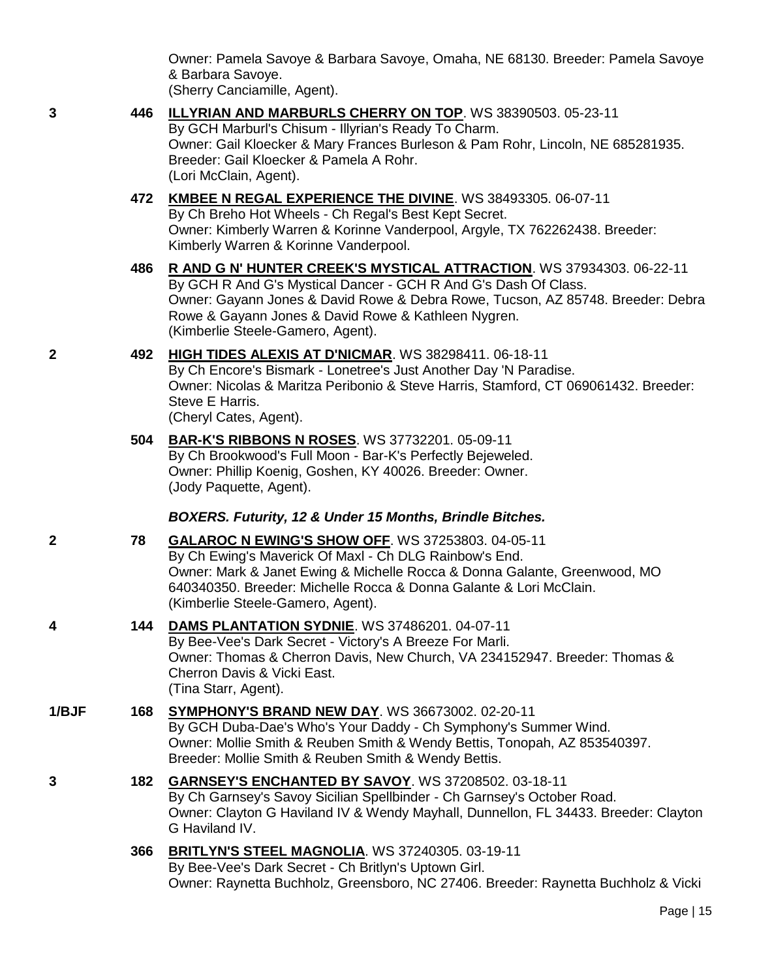Owner: Pamela Savoye & Barbara Savoye, Omaha, NE 68130. Breeder: Pamela Savoye & Barbara Savoye.

|       |     | (Sherry Canciamille, Agent).                                                                                                                                                                                                                                                                                           |
|-------|-----|------------------------------------------------------------------------------------------------------------------------------------------------------------------------------------------------------------------------------------------------------------------------------------------------------------------------|
| 3     | 446 | ILLYRIAN AND MARBURLS CHERRY ON TOP. WS 38390503. 05-23-11<br>By GCH Marburl's Chisum - Illyrian's Ready To Charm.<br>Owner: Gail Kloecker & Mary Frances Burleson & Pam Rohr, Lincoln, NE 685281935.<br>Breeder: Gail Kloecker & Pamela A Rohr.<br>(Lori McClain, Agent).                                             |
|       | 472 | <b>KMBEE N REGAL EXPERIENCE THE DIVINE. WS 38493305. 06-07-11</b><br>By Ch Breho Hot Wheels - Ch Regal's Best Kept Secret.<br>Owner: Kimberly Warren & Korinne Vanderpool, Argyle, TX 762262438. Breeder:<br>Kimberly Warren & Korinne Vanderpool.                                                                     |
|       | 486 | R AND G N' HUNTER CREEK'S MYSTICAL ATTRACTION. WS 37934303. 06-22-11<br>By GCH R And G's Mystical Dancer - GCH R And G's Dash Of Class.<br>Owner: Gayann Jones & David Rowe & Debra Rowe, Tucson, AZ 85748. Breeder: Debra<br>Rowe & Gayann Jones & David Rowe & Kathleen Nygren.<br>(Kimberlie Steele-Gamero, Agent). |
| 2     | 492 | HIGH TIDES ALEXIS AT D'NICMAR. WS 38298411. 06-18-11<br>By Ch Encore's Bismark - Lonetree's Just Another Day 'N Paradise.<br>Owner: Nicolas & Maritza Peribonio & Steve Harris, Stamford, CT 069061432. Breeder:<br>Steve E Harris.<br>(Cheryl Cates, Agent).                                                          |
|       | 504 | <b>BAR-K'S RIBBONS N ROSES.</b> WS 37732201. 05-09-11<br>By Ch Brookwood's Full Moon - Bar-K's Perfectly Bejeweled.<br>Owner: Phillip Koenig, Goshen, KY 40026. Breeder: Owner.<br>(Jody Paquette, Agent).                                                                                                             |
|       |     | BOXERS. Futurity, 12 & Under 15 Months, Brindle Bitches.                                                                                                                                                                                                                                                               |
| 2     | 78  | GALAROC N EWING'S SHOW OFF. WS 37253803. 04-05-11<br>By Ch Ewing's Maverick Of Maxl - Ch DLG Rainbow's End.<br>Owner: Mark & Janet Ewing & Michelle Rocca & Donna Galante, Greenwood, MO<br>640340350. Breeder: Michelle Rocca & Donna Galante & Lori McClain.<br>(Kimberlie Steele-Gamero, Agent).                    |
| 4     | 144 | DAMS PLANTATION SYDNIE. WS 37486201. 04-07-11<br>By Bee-Vee's Dark Secret - Victory's A Breeze For Marli.<br>Owner: Thomas & Cherron Davis, New Church, VA 234152947. Breeder: Thomas &<br>Cherron Davis & Vicki East.<br>(Tina Starr, Agent).                                                                         |
| 1/BJF | 168 | SYMPHONY'S BRAND NEW DAY. WS 36673002. 02-20-11<br>By GCH Duba-Dae's Who's Your Daddy - Ch Symphony's Summer Wind.<br>Owner: Mollie Smith & Reuben Smith & Wendy Bettis, Tonopah, AZ 853540397.<br>Breeder: Mollie Smith & Reuben Smith & Wendy Bettis.                                                                |
| 3     | 182 | <b>GARNSEY'S ENCHANTED BY SAVOY.</b> WS 37208502. 03-18-11<br>By Ch Garnsey's Savoy Sicilian Spellbinder - Ch Garnsey's October Road.<br>Owner: Clayton G Haviland IV & Wendy Mayhall, Dunnellon, FL 34433. Breeder: Clayton<br>G Haviland IV.                                                                         |
|       | 366 | BRITLYN'S STEEL MAGNOLIA. WS 37240305. 03-19-11<br>By Bee-Vee's Dark Secret - Ch Britlyn's Uptown Girl.<br>Owner: Raynetta Buchholz, Greensboro, NC 27406. Breeder: Raynetta Buchholz & Vicki                                                                                                                          |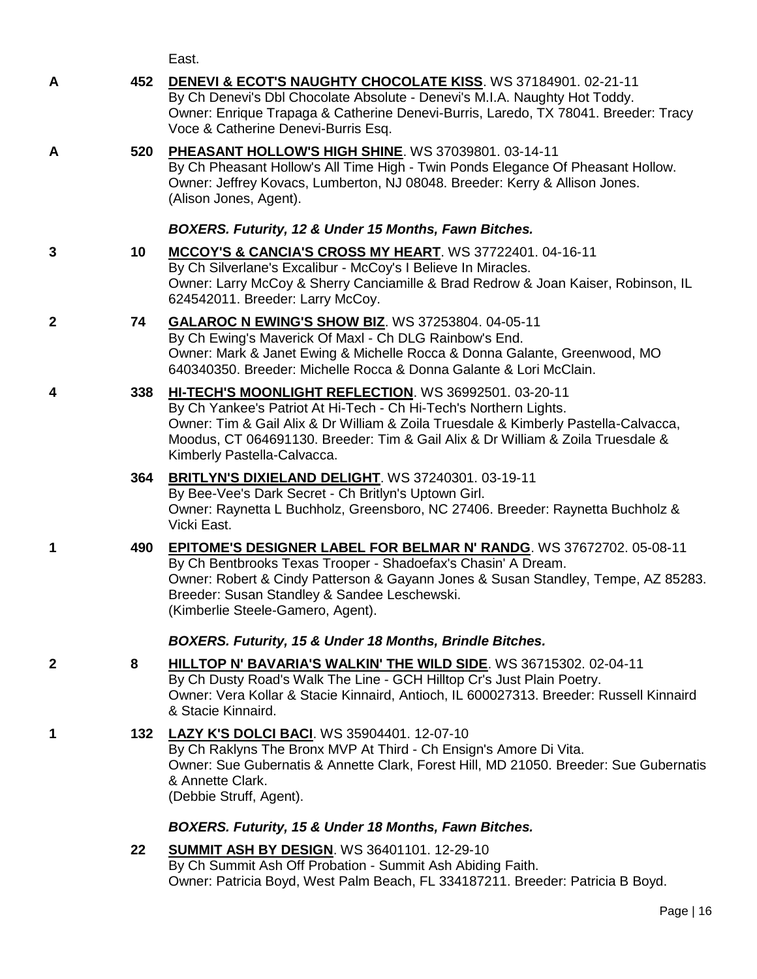East.

| A            | 452 | <b>DENEVI &amp; ECOT'S NAUGHTY CHOCOLATE KISS. WS 37184901. 02-21-11</b><br>By Ch Denevi's Dbl Chocolate Absolute - Denevi's M.I.A. Naughty Hot Toddy.<br>Owner: Enrique Trapaga & Catherine Denevi-Burris, Laredo, TX 78041. Breeder: Tracy<br>Voce & Catherine Denevi-Burris Esq.                                                 |
|--------------|-----|-------------------------------------------------------------------------------------------------------------------------------------------------------------------------------------------------------------------------------------------------------------------------------------------------------------------------------------|
| A            | 520 | PHEASANT HOLLOW'S HIGH SHINE. WS 37039801. 03-14-11<br>By Ch Pheasant Hollow's All Time High - Twin Ponds Elegance Of Pheasant Hollow.<br>Owner: Jeffrey Kovacs, Lumberton, NJ 08048. Breeder: Kerry & Allison Jones.<br>(Alison Jones, Agent).                                                                                     |
|              |     | BOXERS. Futurity, 12 & Under 15 Months, Fawn Bitches.                                                                                                                                                                                                                                                                               |
| 3            | 10  | MCCOY'S & CANCIA'S CROSS MY HEART. WS 37722401. 04-16-11<br>By Ch Silverlane's Excalibur - McCoy's I Believe In Miracles.<br>Owner: Larry McCoy & Sherry Canciamille & Brad Redrow & Joan Kaiser, Robinson, IL<br>624542011. Breeder: Larry McCoy.                                                                                  |
| $\mathbf{2}$ | 74  | <b>GALAROC N EWING'S SHOW BIZ. WS 37253804. 04-05-11</b><br>By Ch Ewing's Maverick Of Maxl - Ch DLG Rainbow's End.<br>Owner: Mark & Janet Ewing & Michelle Rocca & Donna Galante, Greenwood, MO<br>640340350. Breeder: Michelle Rocca & Donna Galante & Lori McClain.                                                               |
| 4            | 338 | HI-TECH'S MOONLIGHT REFLECTION. WS 36992501. 03-20-11<br>By Ch Yankee's Patriot At Hi-Tech - Ch Hi-Tech's Northern Lights.<br>Owner: Tim & Gail Alix & Dr William & Zoila Truesdale & Kimberly Pastella-Calvacca,<br>Moodus, CT 064691130. Breeder: Tim & Gail Alix & Dr William & Zoila Truesdale &<br>Kimberly Pastella-Calvacca. |
|              | 364 | BRITLYN'S DIXIELAND DELIGHT. WS 37240301. 03-19-11<br>By Bee-Vee's Dark Secret - Ch Britlyn's Uptown Girl.<br>Owner: Raynetta L Buchholz, Greensboro, NC 27406. Breeder: Raynetta Buchholz &<br>Vicki East.                                                                                                                         |
| 1            | 490 | <b>EPITOME'S DESIGNER LABEL FOR BELMAR N' RANDG. WS 37672702. 05-08-11</b><br>By Ch Bentbrooks Texas Trooper - Shadoefax's Chasin' A Dream.<br>Owner: Robert & Cindy Patterson & Gayann Jones & Susan Standley, Tempe, AZ 85283.<br>Breeder: Susan Standley & Sandee Leschewski.<br>(Kimberlie Steele-Gamero, Agent).               |
|              |     | <b>BOXERS. Futurity, 15 &amp; Under 18 Months, Brindle Bitches.</b>                                                                                                                                                                                                                                                                 |
| $\mathbf{2}$ | 8   | HILLTOP N' BAVARIA'S WALKIN' THE WILD SIDE. WS 36715302. 02-04-11<br>By Ch Dusty Road's Walk The Line - GCH Hilltop Cr's Just Plain Poetry.<br>Owner: Vera Kollar & Stacie Kinnaird, Antioch, IL 600027313. Breeder: Russell Kinnaird<br>& Stacie Kinnaird.                                                                         |
| 1            |     | 132 LAZY K'S DOLCI BACI. WS 35904401. 12-07-10<br>By Ch Raklyns The Bronx MVP At Third - Ch Ensign's Amore Di Vita.<br>Owner: Sue Gubernatis & Annette Clark, Forest Hill, MD 21050. Breeder: Sue Gubernatis<br>& Annette Clark.<br>(Debbie Struff, Agent).                                                                         |
|              |     | BOXERS. Futurity, 15 & Under 18 Months, Fawn Bitches.                                                                                                                                                                                                                                                                               |
|              | 22  | <b>SUMMIT ASH BY DESIGN. WS 36401101. 12-29-10</b><br>By Ch Summit Ash Off Probation - Summit Ash Abiding Faith.<br>Owner: Patricia Boyd, West Palm Beach, FL 334187211. Breeder: Patricia B Boyd.                                                                                                                                  |